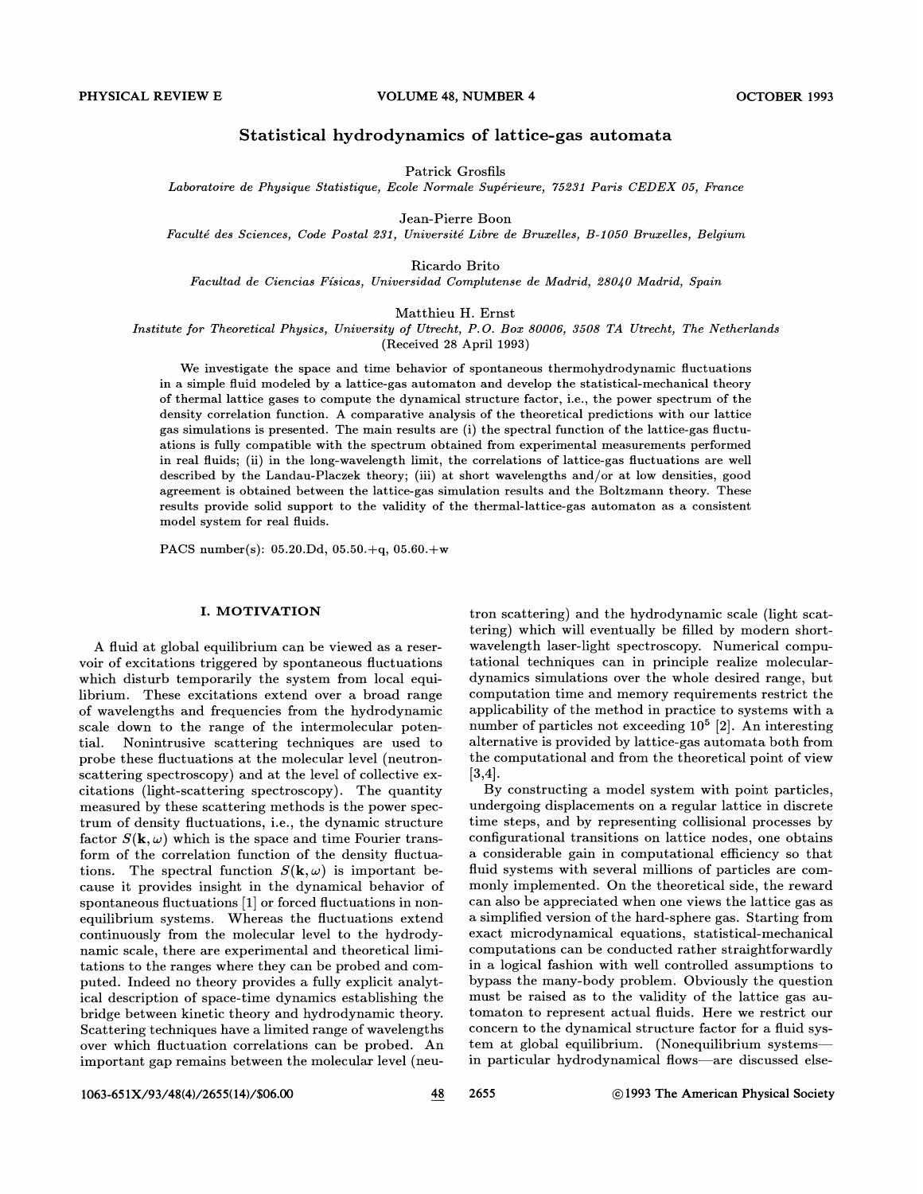# Statistical hydrodynamics of lattice-gas automata

Patrick Grosfils

Laboratoire de Physique Statistique, Ecole Normale Superieure, 75281 Paris CEDEX 05, France

Jean-Pierre Boon

Faculte des. Sciences, Code Postal 282, Universite Libre de Bruzelles, B-1050 Bruzelles, Belgium

Ricardo Brito

Facultad de Ciencias Fisicas, Universidad Complutense de Madrid, 280/0 Madrid, Spain

Matthieu H. Ernst

Institute for Theoretical Physics, University of Utrecht, P.O. Box 80006, 3508 TA Utrecht, The Netherlands

(Received 28 April 1993)

We investigate the space and time behavior of spontaneous thermohydrodynamic fluctuations in a simple fluid modeled by a lattice-gas automaton and develop the statistical-mechanical theory of thermal lattice gases to compute the dynamical structure factor, i.e., the power spectrum of the density correlation function. A comparative analysis of the theoretical predictions with our lattice gas simulations is presented. The main results are (i) the spectral function of the lattice-gas fluctuations is fully compatible with the spectrum obtained from experimental measurements performed in real fluids; (ii) in the long-wavelength limit, the correlations of lattice-gas fluctuations are well described by the Landau-Placzek theory; (iii) at short wavelengths and/or at low densities, good agreement is obtained between the lattice-gas simulation results and the Boltzmann theory. These results provide solid support to the validity of the thermal-lattice-gas automaton as a consistent model system for real fluids.

PACS number(s): 05.20.Dd, 05.50.+q, 05.60.+w

# I. MOTIVATION

A fluid at global equilibrium can be viewed as a reservoir of excitations triggered by spontaneous fluctuations which disturb temporarily the system from local equilibrium. These excitations extend over a broad range of wavelengths and frequencies from the hydrodynamic scale down to the range of the intermolecular potential. Nonintrusive scattering techniques are used to probe these fluctuations at the molecular level (neutronscattering spectroscopy) and at the level of collective excitations (light-scattering spectroscopy). The quantity measured by these scattering methods is the power spectrum of density fluctuations, i.e., the dynamic structure factor  $S(\mathbf{k}, \omega)$  which is the space and time Fourier transform of the correlation function of the density fluctuations. The spectral function  $S(\mathbf{k}, \omega)$  is important because it provides insight in the dynamical behavior of spontaneous fluctuations [1] or forced fluctuations in nonequilibrium systems. Whereas the fluctuations extend continuously from the molecular level to the hydrodynamic scale, there are experimental and theoretical limitations to the ranges where they can be probed and computed. Indeed no theory provides a fully explicit analytical description of space-time dynamics establishing the bridge between kinetic theory and hydrodynamic theory. Scattering techniques have a limited range of wavelengths over which fluctuation correlations can be probed. An important gap remains between the molecular level (neu-

tron scattering) and the hydrodynamic scale (light scattering) which will eventually be filled by modern shortwavelength laser-light spectroscopy. Numerical computational techniques can in principle realize moleculardynamics simulations over the whole desired range, but computation time and memory requirements restrict the applicability of the method in practice to systems with a number of particles not exceeding  $10^5$  [2]. An interesting alternative is provided by lattice-gas automata both from the computational and from the theoretical point of view [3,4].

By constructing a model system with point particles, undergoing displacements on a regular lattice in discrete time steps, and by representing collisional processes by configurational transitions on lattice nodes, one obtains a considerable gain in computational efficiency so that fluid systems with several millions of particles are commonly implemented. On the theoretical side, the reward can also be appreciated when one views the lattice gas as a simplified version of the hard-sphere gas. Starting from exact microdynamical equations, statistical-mechanical computations can be conducted rather straightforwardly in a logical fashion with well controlled assumptions to bypass the many-body problem. Obviously the question must be raised as to the validity of the lattice gas automaton to represent actual fluids. Here we restrict our concern to the dynamical structure factor for a fluid system at global equilibrium. (Nonequilibrium systems in particular hydrodynamical flows—are discussed else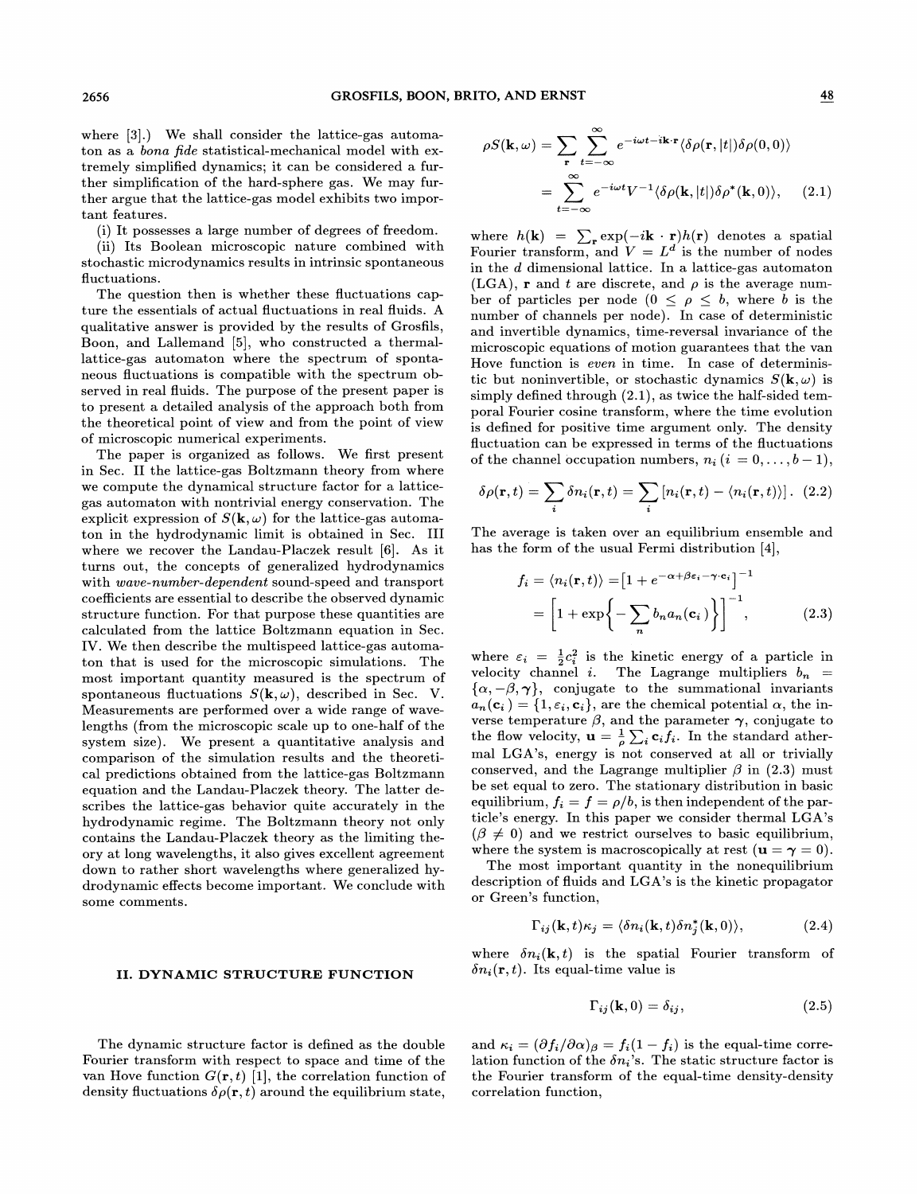where [3].) We shall consider the lattice-gas automaton as a bona fide statistical-mechanical model with extremely simplified dynamics; it can be considered a further simplification of the hard-sphere gas. We may further argue that the lattice-gas model exhibits two important features.

(i) It possesses a large number of degrees of freedom.

(ii) Its Boolean microscopic nature combined with stochastic microdynamics results in intrinsic spontaneous fluctuations.

The question then is whether these fluctuations capture the essentials of actual fluctuations in real fluids. A qualitative answer is provided by the results of Grosfils, Boon, and Lallemand [5], who constructed a thermallattice-gas automaton where the spectrum of spontaneous fluctuations is compatible with the spectrum observed in real fluids. The purpose of the present paper is to present a detailed analysis of the approach both from the theoretical point of view and from the point of view of microscopic numerical experiments.

The paper is organized as follows. We first present in Sec. II the lattice-gas Boltzmann theory from where we compute the dynamical structure factor for a latticegas automaton with nontrivial energy conservation. The explicit expression of  $S(\mathbf{k}, \omega)$  for the lattice-gas automaton in the hydrodynamic limit is obtained in Sec. III where we recover the Landau-Placzek result [6]. As it turns out, the concepts of generalized hydrodynamics with wave-number-dependent sound-speed and transport coefficients are essential to describe the observed dynamic structure function. For that purpose these quantities are calculated from the lattice Boltzmann equation in Sec. IV. We then describe the multispeed lattice-gas automaton that is used for the microscopic simulations. The most important quantity measured is the spectrum of spontaneous fluctuations  $S(\mathbf{k}, \omega)$ , described in Sec. V. Measurements are performed over a wide range of wavelengths (from the microscopic scale up to one-half of the system size). We present a quantitative analysis and comparison of the simulation results and the theoretical predictions obtained from the lattice-gas Boltzmann equation and the Landau-Placzek theory. The latter describes the lattice-gas behavior quite accurately in the hydrodynamic regime. The Boltzmann theory not only contains the Landau-Placzek theory as the limiting theory at long wavelengths, it also gives excellent agreement down to rather short wavelengths where generalized hydrodynamic effects become important. We conclude with some comments.

# II. DYNAMIC STRUCTURE FUNCTION

The dynamic structure factor is defined as the double Fourier transform with respect to space and time of the van Hove function  $G(\mathbf{r}, t)$  [1], the correlation function of density fluctuations  $\delta \rho({\bf r}, t)$  around the equilibrium state,

$$
\rho S(\mathbf{k}, \omega) = \sum_{\mathbf{r}} \sum_{t=-\infty}^{\infty} e^{-i\omega t - i\mathbf{k} \cdot \mathbf{r}} \langle \delta \rho(\mathbf{r}, |t|) \delta \rho(0, 0) \rangle
$$

$$
= \sum_{t=-\infty}^{\infty} e^{-i\omega t} V^{-1} \langle \delta \rho(\mathbf{k}, |t|) \delta \rho^*(\mathbf{k}, 0) \rangle, \quad (2.1)
$$

where  $h(\mathbf{k}) = \sum_{\mathbf{r}} \exp(-i\mathbf{k} \cdot \mathbf{r})h(\mathbf{r})$  denotes a spatial Fourier transform, and  $V = L^d$  is the number of nodes in the d dimensional lattice. In a lattice-gas automaton (LGA), **r** and t are discrete, and  $\rho$  is the average number of particles per node ( $0 \leq \rho \leq b$ , where b is the number of channels per node). In case of deterministic and invertible dynamics, time-reversal invariance of the microscopic equations of motion guarantees that the van Hove function is even in time. In case of deterministic but noninvertible, or stochastic dynamics  $S(\mathbf{k}, \omega)$  is simply defined through (2.1), as twice the half-sided temporal Fourier cosine transform, where the time evolution is defined for positive time argument only. The density fluctuation can be expressed in terms of the fluctuations of the channel occupation numbers,  $n_i$   $(i = 0, \ldots, b-1)$ ,

$$
\delta \rho(\mathbf{r},t) = \sum_{i} \delta n_i(\mathbf{r},t) = \sum_{i} [n_i(\mathbf{r},t) - \langle n_i(\mathbf{r},t) \rangle]. \tag{2.2}
$$

The average is taken over an equilibrium ensemble and has the form of the usual Fermi distribution [4],

$$
f_i = \langle n_i(\mathbf{r}, t) \rangle = \left[ 1 + e^{-\alpha + \beta \epsilon_i - \gamma \cdot \mathbf{c}_i} \right]^{-1}
$$

$$
= \left[ 1 + \exp\left\{ -\sum_n b_n a_n(\mathbf{c}_i) \right\} \right]^{-1}, \tag{2.3}
$$

where  $\varepsilon_i = \frac{1}{2}c_i^2$  is the kinetic energy of a particle in velocity channel i. The Lagrange multipliers  $b_n$  $\{\alpha, -\beta, \gamma\},$  conjugate to the summational invariants  $a_n(c_i) = \{1, \varepsilon_i, c_i\}$ , are the chemical potential  $\alpha$ , the inverse temperature  $\beta$ , and the parameter  $\gamma$ , conjugate to the flow velocity,  $\mathbf{u} = \frac{1}{\rho} \sum_i \mathbf{c}_i f_i$ . In the standard athermal LGA's, energy is not conserved at all or trivially conserved, and the Lagrange multiplier  $\beta$  in (2.3) must be set equal to zero. The stationary distribution in basic equilibrium,  $f_i = f = \rho/b$ , is then independent of the particle's energy. In this paper we consider thermal LGA's  $(\beta \neq 0)$  and we restrict ourselves to basic equilibrium, where the system is macroscopically at rest  $(\mathbf{u} = \boldsymbol{\gamma} = 0)$ .

The most important quantity in the nonequilibrium description of fluids and LGA's is the kinetic propagator or Green's function,

$$
\Gamma_{ij}(\mathbf{k},t)\kappa_j = \langle \delta n_i(\mathbf{k},t)\delta n_j^*(\mathbf{k},0) \rangle, \tag{2.4}
$$

where  $\delta n_i(\mathbf{k}, t)$  is the spatial Fourier transform of  $\delta n_i(\mathbf{r}, t)$ . Its equal-time value is

$$
\Gamma_{ij}(\mathbf{k},0) = \delta_{ij},\tag{2.5}
$$

and  $\kappa_i = (\partial f_i/\partial \alpha)_{\beta} = f_i(1 - f_i)$  is the equal-time correlation function of the  $\delta n_i$ 's. The static structure factor is the Fourier transform of the equal-time density-density correlation function,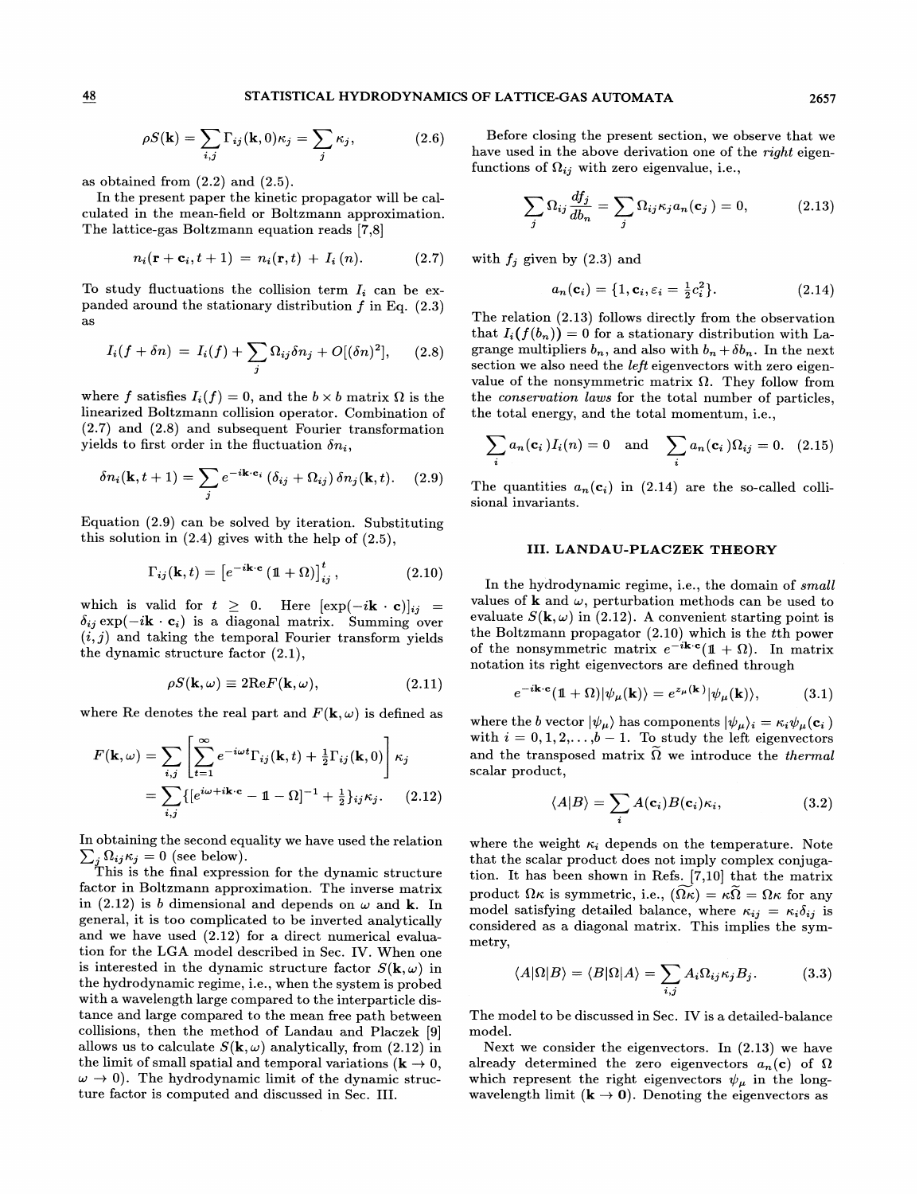as obtained from  $(2.2)$  and  $(2.5)$ .

In the present paper the kinetic propagator will be calculated in the mean-field or Boltzmann approximation. The lattice-gas Boltzmann equation reads [7,8]

$$
n_i(\mathbf{r} + \mathbf{c}_i, t+1) = n_i(\mathbf{r}, t) + I_i(n). \tag{2.7}
$$

To study fluctuations the collision term  $I_i$  can be expanded around the stationary distribution  $f$  in Eq.  $(2.3)$ as

$$
I_i(f+\delta n) = I_i(f) + \sum_j \Omega_{ij}\delta n_j + O[(\delta n)^2], \quad (2.8)
$$

where f satisfies  $I_i(f) = 0$ , and the  $b \times b$  matrix  $\Omega$  is the linearized Boltzmann collision operator. Combination of (2.7) and (2.8) and subsequent Fourier transformation yields to first order in the fluctuation  $\delta n_i$ ,

$$
\delta n_i(\mathbf{k}, t+1) = \sum_j e^{-i\mathbf{k}\cdot\mathbf{c}_i} \left(\delta_{ij} + \Omega_{ij}\right) \delta n_j(\mathbf{k}, t). \quad (2.9)
$$

Equation (2.9) can be solved by iteration. Substituting this solution in (2.4) gives with the help of (2.5),

$$
\Gamma_{ij}(\mathbf{k},t) = \left[e^{-i\mathbf{k}\cdot\mathbf{c}}\left(\mathbb{1}+\Omega\right)\right]_{ij}^t, \qquad (2.10)
$$

which is valid for  $t \geq 0$ . Here  $[\exp(-i\mathbf{k} \cdot \mathbf{c})]_{ij} =$  $\delta_{ij}$  exp( $-i\mathbf{k} \cdot \mathbf{c}_i$ ) is a diagonal matrix. Summing over  $(i, j)$  and taking the temporal Fourier transform yields the dynamic structure factor (2.1),

$$
\rho S(\mathbf{k}, \omega) \equiv 2\text{Re} F(\mathbf{k}, \omega), \qquad (2.11)
$$

where Re denotes the real part and  $F(\mathbf{k}, \omega)$  is defined as

$$
F(\mathbf{k}, \omega) = \sum_{i,j} \left[ \sum_{t=1}^{\infty} e^{-i\omega t} \Gamma_{ij}(\mathbf{k}, t) + \frac{1}{2} \Gamma_{ij}(\mathbf{k}, 0) \right] \kappa_j
$$
  
= 
$$
\sum_{i,j} \{ [e^{i\omega + i\mathbf{k} \cdot \mathbf{c}} - 1 - \Omega]^{-1} + \frac{1}{2} \}_{ij} \kappa_j.
$$
 (2.12)

In obtaining the second equality we have used the relation  $\sum_j \Omega_{ij} \kappa_j = 0$  (see below).

This is the final expression for the dynamic structure factor in Boltzmann approximation. The inverse matrix in (2.12) is b dimensional and depends on  $\omega$  and k. In general, it is too complicated to be inverted analytically and we have used (2.12) for a direct numerical evaluation for the LGA model described in Sec. IV. When one is interested in the dynamic structure factor  $S(\mathbf{k}, \omega)$  in the hydrodynamic regime, i.e., when the system is probed with a wavelength large compared to the interparticle distance and large compared to the mean free path between collisions, then the method of Landau and Placzek [9] allows us to calculate  $S(\mathbf{k}, \omega)$  analytically, from (2.12) in the limit of small spatial and temporal variations ( $\mathbf{k} \to 0$ ,  $\omega \rightarrow 0$ ). The hydrodynamic limit of the dynamic structure factor is computed and discussed in Sec. III.

(2.6) Before closing the present section, we observe that we have used in the above derivation one of the right eigenfunctions of  $\Omega_{ij}$  with zero eigenvalue, i.e.,

$$
\sum_{j} \Omega_{ij} \frac{df_j}{db_n} = \sum_{j} \Omega_{ij} \kappa_j a_n(\mathbf{c}_j) = 0, \qquad (2.13)
$$

with  $f_j$  given by (2.3) and

$$
a_n(\mathbf{c}_i) = \{1, \mathbf{c}_i, \varepsilon_i = \frac{1}{2}c_i^2\}.
$$
 (2.14)

The relation (2.13) follows directly from the observation that  $I_i(f(b_n)) = 0$  for a stationary distribution with Lagrange multipliers  $b_n$ , and also with  $b_n + \delta b_n$ . In the next section we also need the *left* eigenvectors with zero eigenvalue of the nonsymmetric matrix  $\Omega$ . They follow from the conservation lans for the total number of particles, the total energy, and the total momentum, i.e.,

$$
\sum_{i} a_n(\mathbf{c}_i) I_i(n) = 0 \text{ and } \sum_{i} a_n(\mathbf{c}_i) \Omega_{ij} = 0. \quad (2.15)
$$

The quantities  $a_n(c_i)$  in (2.14) are the so-called collisional invariants.

# III. LANDAU-PLACZEK THEORY

In the hydrodynamic regime, i.e., the domain of small values of **k** and  $\omega$ , perturbation methods can be used to evaluate  $S(\mathbf{k}, \omega)$  in (2.12). A convenient starting point is the Boltzmann propagator (2.10) which is the tth power of the nonsymmetric matrix  $e^{-i\mathbf{k}\cdot\mathbf{c}}(1+\Omega)$ . In matrix notation its right eigenvectors are defined through

$$
e^{-i\mathbf{k}\cdot\mathbf{c}}(\mathbf{1}+\Omega)|\psi_{\mu}(\mathbf{k})\rangle = e^{z_{\mu}(\mathbf{k})}|\psi_{\mu}(\mathbf{k})\rangle, \qquad (3.1)
$$

where the b vector  $|\psi_\mu\rangle$  has components  $|\psi_\mu\rangle_i = \kappa_i \psi_\mu(\mathbf{c}_i)$ with  $i = 0, 1, 2, \ldots, b - 1$ . To study the left eigenvectors and the transposed matrix  $\tilde{\Omega}$  we introduce the *thermal* scalar product,

$$
\mathbf{1} - \Omega \mathbf{1}^{-1} + \frac{1}{2} \mathbf{1}_{ij} \kappa_j. \qquad (2.12) \qquad \langle A|B \rangle = \sum_i A(\mathbf{c}_i) B(\mathbf{c}_i) \kappa_i, \qquad (3.2)
$$

where the weight  $\kappa_i$  depends on the temperature. Note that the scalar product does not imply complex conjugation. It has been shown in Refs. [?,10] that the matrix product  $\Omega \kappa$  is symmetric, i.e.,  $(\Omega \kappa) = \kappa \tilde{\Omega} = \Omega \kappa$  for any model satisfying detailed balance, where  $\kappa_{ij} = \kappa_i \delta_{ij}$  is considered as a diagonal matrix. This implies the symmetry,

$$
\langle A|\Omega|B\rangle = \langle B|\Omega|A\rangle = \sum_{i,j} A_i \Omega_{ij} \kappa_j B_j. \tag{3.3}
$$

The model to be discussed in Sec. IV is a detailed-balance model.

Next we consider the eigenvectors. In (2.13) we have already determined the zero eigenvectors  $a_n(c)$  of  $\Omega$ which represent the right eigenvectors  $\psi_{\mu}$  in the longwavelength limit  $(\mathbf{k} \to \mathbf{0})$ . Denoting the eigenvectors as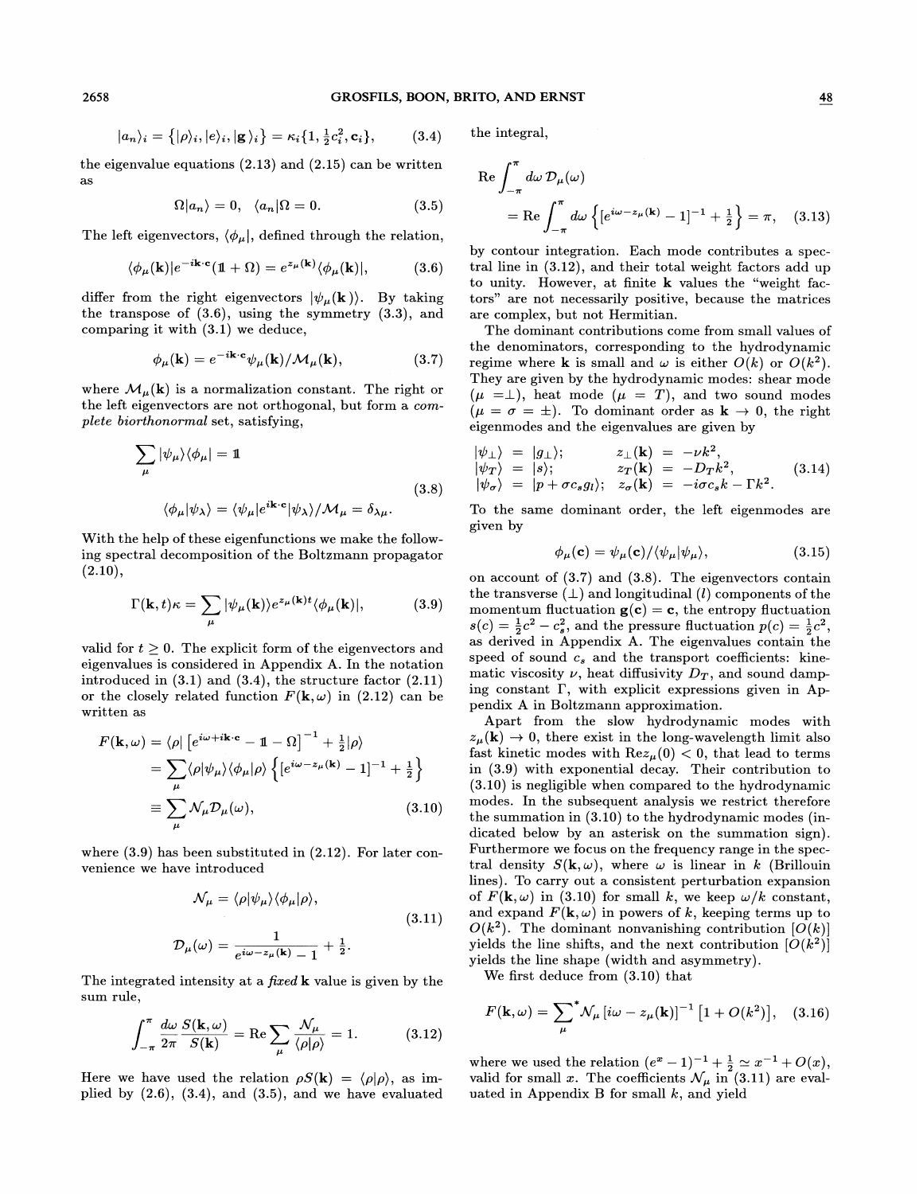$$
|a_n\rangle_i = \{|\rho\rangle_i, |e\rangle_i, |\mathbf{g}\rangle_i\} = \kappa_i \{1, \frac{1}{2}c_i^2, \mathbf{c}_i\}, \quad (3.4)
$$
 the integral

the eigenvalue equations  $(2.13)$  and  $(2.15)$  can be written as  $\cos \theta + \cos \theta = 27$  Re  $\int d\omega \mathcal{D}_{\mu}(\omega)$ 

$$
\Omega|a_n\rangle = 0, \quad \langle a_n|\Omega = 0. \tag{3.5}
$$

The left eigenvectors,  $\langle \phi_\mu |$ , defined through the relation,

$$
\langle \phi_{\mu}(\mathbf{k})|e^{-i\mathbf{k}\cdot\mathbf{c}}(1+\Omega) = e^{z_{\mu}(\mathbf{k})}\langle \phi_{\mu}(\mathbf{k})|,\tag{3.6}
$$

differ from the right eigenvectors  $|\psi_{\mu}(\mathbf{k})\rangle$ . By taking the transpose of (3.6), using the symmetry (3.3), and comparing it with (3.1) we deduce,

$$
\phi_{\mu}(\mathbf{k}) = e^{-i\mathbf{k}\cdot\mathbf{c}}\psi_{\mu}(\mathbf{k})/\mathcal{M}_{\mu}(\mathbf{k}), \qquad (3.7)
$$

where  $\mathcal{M}_{\mu}(\mathbf{k})$  is a normalization constant. The right or the left eigenvectors are not orthogonal, but form a complete biorthonormal set, satisfying,

$$
\sum_{\mu} |\psi_{\mu}\rangle \langle \phi_{\mu}| = \mathbb{1}
$$
  

$$
\langle \phi_{\mu} | \psi_{\lambda} \rangle = \langle \psi_{\mu} | e^{i\mathbf{k} \cdot \mathbf{c}} | \psi_{\lambda} \rangle / \mathcal{M}_{\mu} = \delta_{\lambda \mu}.
$$
 (3.8)

With the help of these eigenfunctions we make the following spectral decomposition of the Boltzmann propagator  $(2.10),$ 

$$
\Gamma(\mathbf{k},t)\kappa = \sum_{\mu} |\psi_{\mu}(\mathbf{k})\rangle e^{z_{\mu}(\mathbf{k})t} \langle \phi_{\mu}(\mathbf{k})|, \tag{3.9}
$$

valid for  $t \geq 0$ . The explicit form of the eigenvectors and eigenvalues is considered in Appendix A. In the notation introduced in  $(3.1)$  and  $(3.4)$ , the structure factor  $(2.11)$ or the closely related function  $F(\mathbf{k}, \omega)$  in (2.12) can be written as

$$
F(\mathbf{k}, \omega) = \langle \rho | \left[ e^{i\omega + i\mathbf{k} \cdot \mathbf{c}} - \mathbb{1} - \Omega \right]^{-1} + \frac{1}{2} | \rho \rangle
$$
  
= 
$$
\sum_{\mu} \langle \rho | \psi_{\mu} \rangle \langle \phi_{\mu} | \rho \rangle \left\{ \left[ e^{i\omega - z_{\mu}(\mathbf{k})} - 1 \right]^{-1} + \frac{1}{2} \right\}
$$
  
\equiv 
$$
\sum_{\mu} \mathcal{N}_{\mu} \mathcal{D}_{\mu}(\omega),
$$
 (3.10)

where (3.9) has been substituted in (2.12). For later convenience we have introduced

$$
\mathcal{N}_{\mu} = \langle \rho | \psi_{\mu} \rangle \langle \phi_{\mu} | \rho \rangle,
$$
  

$$
\mathcal{D}_{\mu}(\omega) = \frac{1}{e^{i\omega - z_{\mu}(\mathbf{k})} - 1} + \frac{1}{2}.
$$
 (3.11)

The integrated intensity at a *fixed* **k** value is given by the sum rule,

$$
\int_{-\pi}^{\pi} \frac{d\omega}{2\pi} \frac{S(\mathbf{k}, \omega)}{S(\mathbf{k})} = \text{Re} \sum_{\mu} \frac{\mathcal{N}_{\mu}}{\langle \rho | \rho \rangle} = 1. \tag{3.12}
$$

Here we have used the relation  $\rho S(\mathbf{k}) = \langle \rho | \rho \rangle$ , as implied by  $(2.6)$ ,  $(3.4)$ , and  $(3.5)$ , and we have evaluated

$$
\begin{aligned} \n\text{Let } \int_{-\pi}^{\pi} d\omega \, \mathcal{D}_{\mu}(\omega) \\ \n&= \text{Re} \int_{-\pi}^{\pi} d\omega \left\{ [e^{i\omega - z_{\mu}(\mathbf{k})} - 1]^{-1} + \frac{1}{2} \right\} = \pi, \quad (3.13) \n\end{aligned}
$$

by contour integration. Each mode contributes a spectral line in (3.12), and their total weight factors add up to unity. However, at finite k values the "weight factors" are not necessarily positive, because the matrices are complex, but not Hermitian.

The dominant contributions come from small values of the denominators, corresponding to the hydrodynamic regime where **k** is small and  $\omega$  is either  $O(k)$  or  $O(k^2)$ . They are given by the hydrodynamic modes: shear mode  $(\mu =\perp)$ , heat mode  $(\mu = T)$ , and two sound modes  $(\mu = \sigma = \pm)$ . To dominant order as  $\mathbf{k} \to 0$ , the right eigenmodes and the eigenvalues are given by

$$
\begin{array}{rcl}\n|\psi_{\perp}\rangle & = & |g_{\perp}\rangle; & z_{\perp}(\mathbf{k}) = -\nu k^2, \\
|\psi_T\rangle & = & |s\rangle; & z_T(\mathbf{k}) = -D_T k^2, \\
|\psi_\sigma\rangle & = & |p + \sigma c_s g_l\rangle; & z_\sigma(\mathbf{k}) = -i\sigma c_s k - \Gamma k^2.\n\end{array} \tag{3.14}
$$

To the same dominant order, the left eigenmodes are given by

$$
\phi_{\mu}(\mathbf{c}) = \psi_{\mu}(\mathbf{c}) / \langle \psi_{\mu} | \psi_{\mu} \rangle, \qquad (3.15)
$$

on account of (3.7) and (3.8). The eigenvectors contain  $\text{the transverse }(\bot) \text{ and longitudinal } (l) \text{ components of the }$ momentum fluctuation  $g(c) = c$ , the entropy fluctuation  $s(c) = \frac{1}{2}c^2 - c_s^2$ , and the pressure fluctuation  $p(c) = \frac{1}{2}c^2$ , as derived in Appendix A. The eigenvalues contain the speed of sound  $c_s$  and the transport coefficients: kinematic viscosity  $\nu$ , heat diffusivity  $D_T$ , and sound damping constant  $\Gamma$ , with explicit expressions given in Appendix A in Boltzmann approximation.

Apart from the slow hydrodynamic modes with  $z_{\mu}(\mathbf{k}) \rightarrow 0$ , there exist in the long-wavelength limit also fast kinetic modes with  $\text{Re}z_{\mu}(0) < 0$ , that lead to terms in (3.9) with exponential decay. Their contribution to (3.10) is negligible when compared to the hydrodynamic modes. In the subsequent analysis we restrict therefore the summation in (3.10) to the hydrodynamic modes (indicated below by an asterisk on the summation sign). Furthermore we focus on the frequency range in the spectral density  $S(\mathbf{k}, \omega)$ , where  $\omega$  is linear in k (Brillouin lines). To carry out a consistent perturbation expansion of  $F(\mathbf{k}, \omega)$  in (3.10) for small k, we keep  $\omega/k$  constant, and expand  $F(\mathbf{k}, \omega)$  in powers of k, keeping terms up to  $O(k^2)$ . The dominant nonvanishing contribution  $|O(k)|$ yields the line shifts, and the next contribution  $[O(k^2)]$ yields the line shape (width and asymmetry).

We first deduce from (3.10) that

$$
F(\mathbf{k}, \omega) = \sum_{\mu} {}^{*} \mathcal{N}_{\mu} [i\omega - z_{\mu}(\mathbf{k})]^{-1} [1 + O(k^{2})], \quad (3.16)
$$

where we used the relation  $(e^x - 1)^{-1} + \frac{1}{2} \simeq x^{-1} + O(x)$ , valid for small x. The coefficients  $\mathcal{N}_{\mu}$  in (3.11) are evaluated in Appendix B for small  $k$ , and yield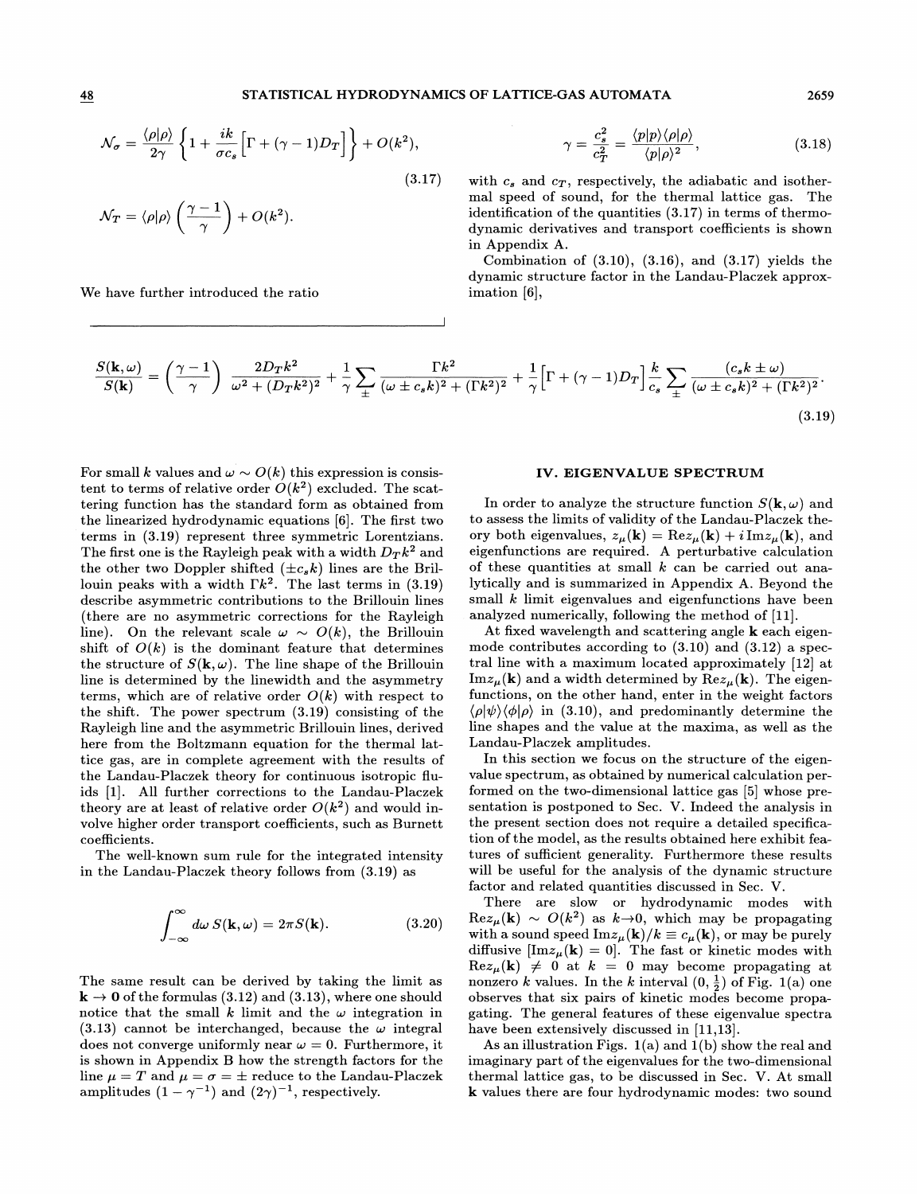### STATISTICAL HYDRODYNAMICS OF LATTICE-GAS AUTOMATA 2659

$$
\mathcal{N}_{\sigma} = \frac{\langle \rho | \rho \rangle}{2\gamma} \left\{ 1 + \frac{ik}{\sigma c_s} \Big[ \Gamma + (\gamma - 1) D_T \Big] \right\} + O(k^2),
$$

$$
\mathcal{N}_T = \langle \rho | \rho \rangle \left( \frac{\gamma-1}{\gamma} \right) + O(k^2).
$$

We have further introduced the ratio

$$
\gamma = \frac{c_s^2}{c_T^2} = \frac{\langle p|p\rangle\langle \rho|\rho\rangle}{\langle p|\rho\rangle^2},\tag{3.18}
$$

 $(3.17)$  with  $c_s$  and  $c_T$ , respectively, the adiabatic and isothermal speed of sound, for the thermal lattice gas. The identification of the quantities (3.17) in terms of thermodynamic derivatives and transport coefficients is shown in Appendix A.

Combination of  $(3.10)$ ,  $(3.16)$ , and  $(3.17)$  yields the dynamic structure factor in the Landau-Placzek approximation [6],

$$
\frac{S(\mathbf{k},\omega)}{S(\mathbf{k})} = \left(\frac{\gamma-1}{\gamma}\right) \frac{2D_Tk^2}{\omega^2 + (D_Tk^2)^2} + \frac{1}{\gamma} \sum_{\pm} \frac{\Gamma k^2}{(\omega \pm c_s k)^2 + (\Gamma k^2)^2} + \frac{1}{\gamma} \Big[ \Gamma + (\gamma-1)D_T \Big] \frac{k}{c_s} \sum_{\pm} \frac{(c_s k \pm \omega)}{(\omega \pm c_s k)^2 + (\Gamma k^2)^2}.
$$
\n(3.19)

For small k values and  $\omega \sim O(k)$  this expression is consis- $\,\mathrm{tent\,\,to\,\,terms\,\,of\,\,relative\,\,order}\,\,O(k^2)\,\,excluded.\,\,The\,\,scat$ tering function has the standard form as obtained from the linearized hydrodynamic equations [6]. The first two terms in (3.19) represent three symmetric Lorentzians. The first one is the Rayleigh peak with a width  $D_T k^2$  and the other two Doppler shifted  $(\pm c_s k)$  lines are the Brillouin peaks with a width  $\Gamma k^2$ . The last terms in (3.19) describe asymmetric contributions to the Brillouin lines (there are no asymmetric corrections for the Rayleigh line). On the relevant scale  $\omega \sim O(k)$ , the Brillouin shift of  $O(k)$  is the dominant feature that determines the structure of  $S(\mathbf{k}, \omega)$ . The line shape of the Brillouin line is determined by the linewidth and the asymmetry terms, which are of relative order  $O(k)$  with respect to the shift. The power spectrum (3.19) consisting of the Rayleigh line and the asymmetric Brillouin lines, derived here from the Boltzmann equation for the thermal lattice gas, are in complete agreement with the results of the Landau-Placzek theory for continuous isotropic Huids [1]. All further corrections to the Landau-Placzek theory are at least of relative order  $O(k^2)$  and would involve higher order transport coefficients, such as Burnett coefficients.

The well-known sum rule for the integrated intensity in the Landau-Placzek theory follows from (3.19) as

$$
\int_{-\infty}^{\infty} d\omega \, S(\mathbf{k}, \omega) = 2\pi S(\mathbf{k}). \tag{3.20}
$$

The same result can be derived by taking the limit as  $\mathbf{k} \rightarrow \mathbf{0}$  of the formulas (3.12) and (3.13), where one should notice that the small k limit and the  $\omega$  integration in (3.13) cannot be interchanged, because the  $\omega$  integral does not converge uniformly near  $\omega = 0$ . Furthermore, it is shown in Appendix B how the strength factors for the line  $\mu = T$  and  $\mu = \sigma = \pm$  reduce to the Landau-Placzek amplitudes  $(1 - \gamma^{-1})$  and  $(2\gamma)^{-1}$ , respectively.

### IV. EIGENVALUE SPECTRUM

In order to analyze the structure function  $S(\mathbf{k}, \omega)$  and to assess the limits of validity of the Landau-Placzek theory both eigenvalues,  $z_{\mu}(\mathbf{k}) = \text{Re} z_{\mu}(\mathbf{k}) + i \text{Im} z_{\mu}(\mathbf{k})$ , and eigenfunctions are required. A perturbative calculation of these quantities at small  $k$  can be carried out analytically and is summarized in Appendix A. Beyond the small  $k$  limit eigenvalues and eigenfunctions have been analyzed numerically, following the method of [11].

At fixed wavelength and scattering angle k each eigenmode contributes according to (3.10) and (3.12) a spectral line with a maximum located approximately [12] at  $\text{Im}z_{\mu}(\mathbf{k})$  and a width determined by  $\text{Re}z_{\mu}(\mathbf{k})$ . The eigenfunctions, on the other hand, enter in the weight factors  $\langle \rho | \psi \rangle \langle \phi | \rho \rangle$  in (3.10), and predominantly determine the line shapes and the value at the maxima, as well as the Landau-Placzek amplitudes.

In this section we focus on the structure of the eigenvalue spectrum, as obtained by numerical calculation performed on the two-dimensional lattice gas [5] whose presentation is postponed to Sec. V. Indeed the analysis in the present section does not require a detailed specification of the model, as the results obtained here exhibit features of sufficient generality. Furthermore these results will be useful for the analysis of the dynamic structure factor and related quantities discussed in Sec. V.

There are slow or hydrodynamic modes with  $\text{Re}z_{\mu}(\mathbf{k}) \sim O(k^2)$  as  $k\rightarrow 0$ , which may be propagating with a sound speed  $\text{Im}z_{\mu}(\mathbf{k})/k \equiv c_{\mu}(\mathbf{k})$ , or may be purely diffusive  $[\text{Im}z_{\mu}(\mathbf{k}) = 0]$ . The fast or kinetic modes with  $\text{Re}z_{\mu}(\mathbf{k}) \neq 0$  at  $k = 0$  may become propagating at nonzero k values. In the k interval  $(0, \frac{1}{2})$  of Fig. 1(a) one observes that six pairs of kinetic modes become propagating. The general features of these eigenvalue spectra have been extensively discussed in [11,13].

As an illustration Figs.  $1(a)$  and  $1(b)$  show the real and imaginary part of the eigenvalues for the two-dimensional thermal lattice gas, to be discussed in Sec. V. At small k values there are four hydrodynamic modes: two sound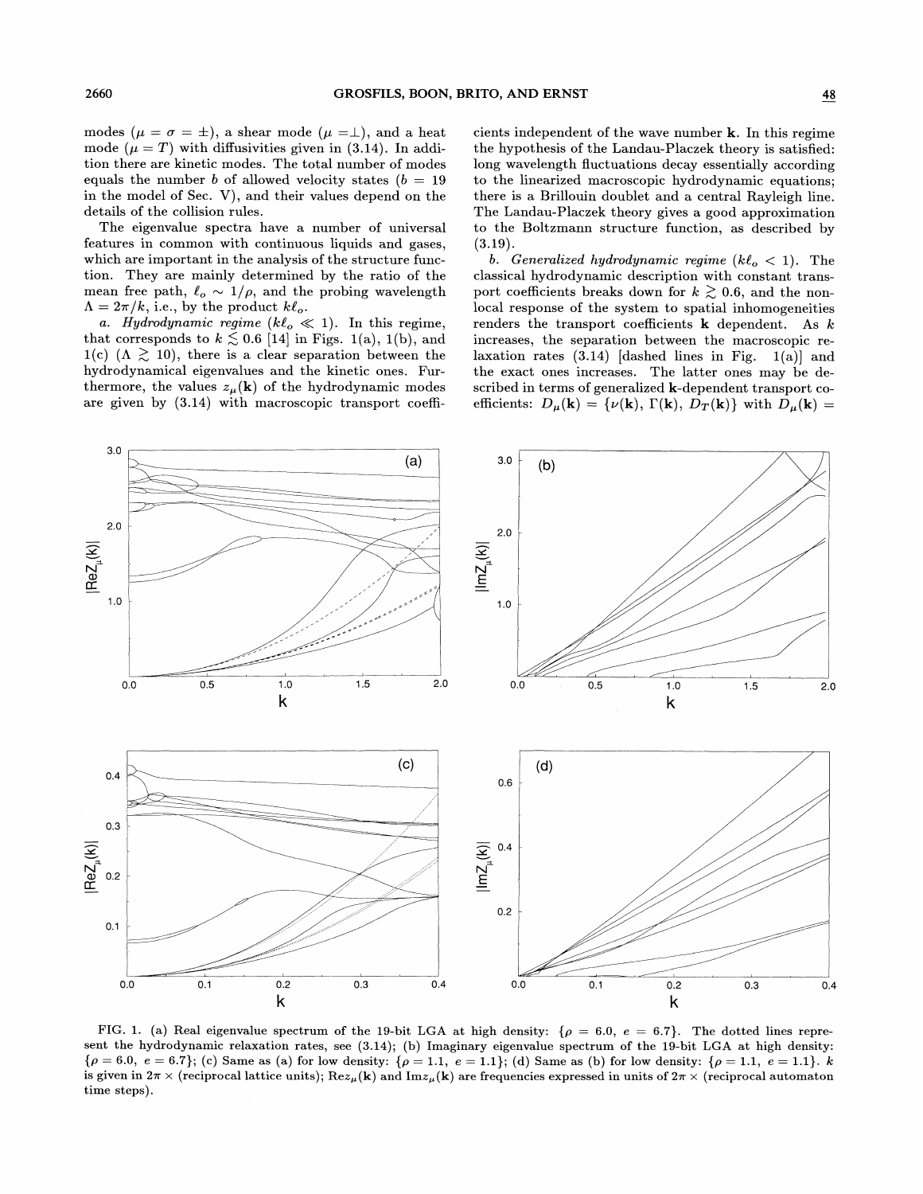modes ( $\mu = \sigma = \pm$ ), a shear mode ( $\mu = \pm$ ), and a heat mode  $(\mu = T)$  with diffusivities given in (3.14). In addition there are kinetic modes. The total number of modes equals the number b of allowed velocity states ( $b = 19$ in the model of Sec. V), and their values depend on the details of the collision rules.

The eigenvalue spectra have a number of universal features in common with continuous liquids and gases, which are important in the analysis of the structure function. They are mainly determined by the ratio of the mean free path,  $\ell_o \sim 1/\rho$ , and the probing wavelength  $\Lambda = 2\pi/k$ , i.e., by the product  $k\ell_o$ .

a. Hydrodynamic regime  $(k\ell_o \ll 1)$ . In this regime, that corresponds to  $k \lesssim 0.6$  [14] in Figs. 1(a), 1(b), and 1(c)  $(\Lambda \gtrsim 10)$ , there is a clear separation between the hydrodynamical eigenvalues and the kinetic ones. Furthermore, the values  $z_{\mu}(\mathbf{k})$  of the hydrodynamic modes are given by (3.14) with macroscopic transport coefficients independent of the wave number k. In this regime the hypothesis of the Landau-Placzek theory is satisfied: long wavelength fluctuations decay essentially according to the linearized macroscopic hydrodynamic equations; there is a Brillouin doublet and a central Rayleigh line. The Landau-Placzek theory gives a good approximation to the Boltzmann structure function, as described by  $(3.19).$ 

b. Generalized hydrodynamic regime  $(k\ell_o < 1)$ . The classical hydrodynamic description with constant transport coefficients breaks down for  $k \gtrsim 0.6$ , and the nonlocal response of the system to spatial inhomogeneities renders the transport coefficients  $k$  dependent. As  $k$ increases, the separation between the macroscopic relaxation rates  $(3.14)$  [dashed lines in Fig.  $1(a)$ ] and the exact ones increases. The latter ones may be described in terms of generalized k-dependent transport coefficients:  $D_{\mu}(\mathbf{k}) = {\nu(\mathbf{k}), \Gamma(\mathbf{k}), D_{T}(\mathbf{k})}$  with  $D_{\mu}(\mathbf{k}) =$ 



(a) Real eigenvalue spectrum of the  $19$ -bi<sup>d</sup>  $s$ ent the hydrodynamic relaxation rates, see (3.14); (b) Imaginary eigenvalue spectrum of the 19-bit LGA at high  $\rho = 6.0, e = 6.7$ ; (c) Same as (a) for low density:  $\{\rho = 1.1, e = 1.1\}$ ; (d) Same as (b) for low density:  $\{\rho = 1.1, e = 1.1\}$ is given in  $2\pi\times$  (reciprocal lattice units);  $\text{Re}z_\mu(\mathbf{k})$  and  $\text{Im}z_\mu(\mathbf{k})$  are frequencies expressed in units of  $2\pi\times$  (reciprocal automaton time steps).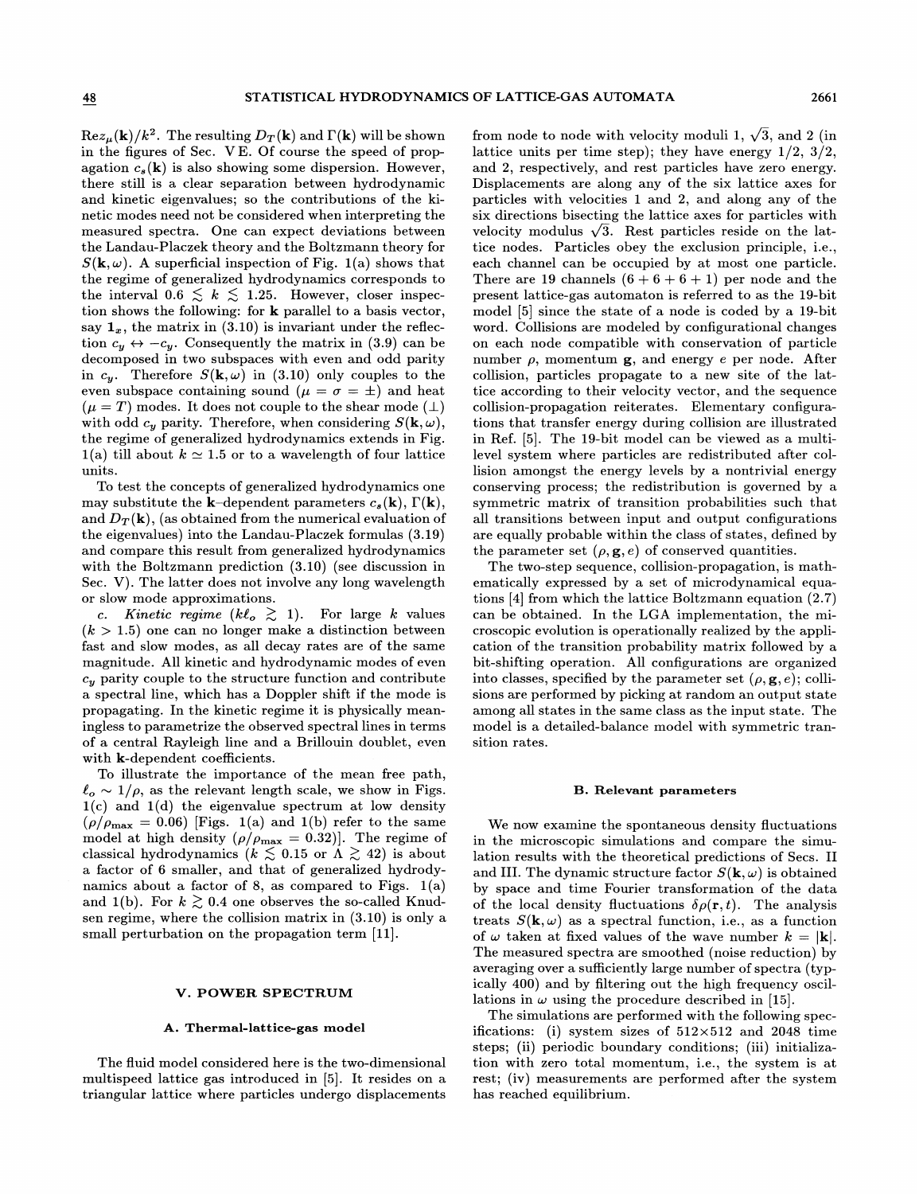$\text{Re}z_{\mu}(\mathbf{k})/k^2$ . The resulting  $D_T(\mathbf{k})$  and  $\Gamma(\mathbf{k})$  will be shown in the figures of Sec. VE. Of course the speed of propagation  $c_s(\mathbf{k})$  is also showing some dispersion. However, there still is a clear separation between hydrodynamic and kinetic eigenvalues; so the contributions of the kinetic modes need not be considered when interpreting the measured spectra. One can expect deviations between the Landau-Placzek theory and the Boltzmann theory for  $S(\mathbf{k}, \omega)$ . A superficial inspection of Fig. 1(a) shows that the regime of generalized hydrodynamics corresponds to the interval  $0.6 \leq k \leq 1.25$ . However, closer inspection shows the following: for k parallel to a basis vector, say  $\mathbf{1}_x$ , the matrix in (3.10) is invariant under the reflection  $c_y \leftrightarrow -c_y$ . Consequently the matrix in (3.9) can be decomposed in two subspaces with even and odd parity in  $c_y$ . Therefore  $S(\mathbf{k}, \omega)$  in (3.10) only couples to the even subspace containing sound ( $\mu = \sigma = \pm$ ) and heat  $(\mu = T)$  modes. It does not couple to the shear mode  $(\perp)$ with odd  $c_y$  parity. Therefore, when considering  $S(\mathbf{k}, \omega)$ , the regime of generalized hydrodynamics extends in Fig. 1(a) till about  $k \approx 1.5$  or to a wavelength of four lattice units.

To test the concepts of generalized hydrodynamics one may substitute the **k**-dependent parameters  $c_s(\mathbf{k})$ ,  $\Gamma(\mathbf{k})$ , and  $D_T(\mathbf{k})$ , (as obtained from the numerical evaluation of the eigenvalues) into the Landau-Placzek formulas (3.19) and compare this result from generalized hydrodynamics with the Boltzmann prediction (3.10) (see discussion in Sec. V). The latter does not involve any long wavelength or slow mode approximations.

c. Kinetic regime  $(k\ell_o \geq 1)$ . For large k values  $(k > 1.5)$  one can no longer make a distinction between fast and slow modes, as all decay rates are of the same magnitude. All kinetic and hydrodynamic modes of even  $c_y$  parity couple to the structure function and contribute a spectral line, which has a Doppler shift if the mode is propagating. In the kinetic regime it is physically meaningless to parametrize the observed spectral lines in terms of a central Rayleigh line and a Brillouin doublet, even with k-dependent coefficients.

To illustrate the importance of the mean free path,  $\ell_o \sim 1/\rho$ , as the relevant length scale, we show in Figs.  $1(c)$  and  $1(d)$  the eigenvalue spectrum at low density  $(\rho/\rho_{\rm max} = 0.06)$  [Figs. 1(a) and 1(b) refer to the same model at high density  $(\rho/\rho_{\rm max} = 0.32)$ . The regime of classical hydrodynamics ( $k \lesssim 0.15$  or  $\Lambda \gtrsim 42$ ) is about a factor of 6 smaller, and that of generalized hydrodynamics about a factor of 8, as compared to Figs.  $1(a)$ and 1(b). For  $k \gtrsim 0.4$  one observes the so-called Knudsen regime, where the collision matrix in (3.10) is only a small perturbation on the propagation term [11].

### V. POWER SPECTRUM

### A. Thermal-lattice-gas model

The fluid model considered here is the two-dimensional multispeed lattice gas introduced in [5]. It resides on a triangular lattice where particles undergo displacements

from node to node with velocity moduli 1,  $\sqrt{3}$ , and 2 (in lattice units per time step); they have energy  $1/2$ ,  $3/2$ , and 2, respectively, and rest particles have zero energy. Displacements are along any of the six lattice axes for particles with velocities 1 and 2, and along any of the six directions bisecting the lattice axes for particles with velocity modulus  $\sqrt{3}$ . Rest particles reside on the lattice nodes. Particles obey the exclusion principle, i.e., each channel can be occupied by at most one particle. There are 19 channels  $(6+6+6+1)$  per node and the present lattice-gas automaton is referred to as the 19-bit model [5] since the state of a node is coded by a 19-bit word. Collisions are modeled by configurational changes on each node compatible with conservation of particle number  $\rho$ , momentum  $g$ , and energy e per node. After collision, particles propagate to a new site of the lattice according to their velocity vector, and the sequence collision-propagation reiterates. Elementary configurations that transfer energy during collision are illustrated in Ref. [5]. The 19-bit model can be viewed as a multilevel system where particles are redistributed after collision amongst the energy levels by a nontrivial energy conserving process; the redistribution is governed by a symmetric matrix of transition probabilities such that all transitions between input and output configurations are equally probable within the class of states, defined by the parameter set  $(\rho, \mathbf{g}, e)$  of conserved quantities.

The two-step sequence, collision-propagation, is mathematically expressed by a set of microdynamical equations [4] from which the lattice Boltzmann equation (2.7) can be obtained. In the LGA implementation, the microscopic evolution is operationally realized by the application of the transition probability matrix followed by a bit-shifting operation. All configurations are organized into classes, specified by the parameter set  $(\rho, \mathbf{g}, e)$ ; collisions are performed by picking at random an output state among all states in the same class as the input state. The model is a detailed-balance model with symmetric transition rates.

#### B. Relevant parameters

We now examine the spontaneous density fluctuations in the microscopic simulations and compare the simulation results with the theoretical predictions of Secs. II and III. The dynamic structure factor  $S(\mathbf{k}, \omega)$  is obtained by space and time Fourier transformation of the data of the local density fluctuations  $\delta \rho({\bf r}, t)$ . The analysis treats  $S(\mathbf{k}, \omega)$  as a spectral function, i.e., as a function of  $\omega$  taken at fixed values of the wave number  $k = |\mathbf{k}|$ . The measured spectra are smoothed (noise reduction) by averaging over a sufficiently large number of spectra (typically 400) and by filtering out the high frequency oscillations in  $\omega$  using the procedure described in [15].

The simulations are performed with the following specifications: (i) system sizes of  $512\times512$  and 2048 time steps; (ii) periodic boundary conditions; (iii) initialization with zero total momentum, i.e., the system is at rest; (iv) measurements are performed after the system has reached equilibrium.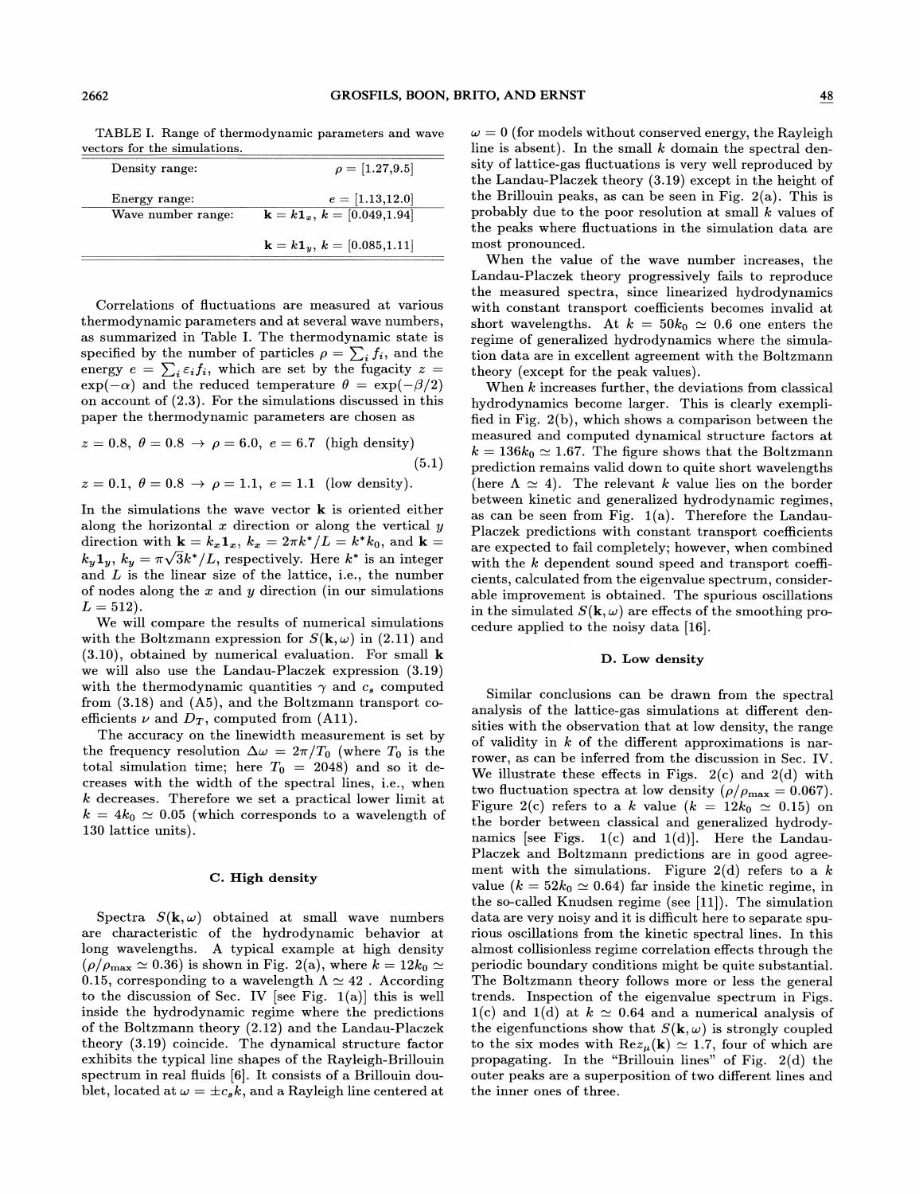TABLE I. Range of thermodynamic parameters and wave vectors for the simulations.

| Density range:                      | $\rho = [1.27, 9.5]$                                                   |
|-------------------------------------|------------------------------------------------------------------------|
| Energy range:<br>Wave number range: | $e = [1.13, 12.0]$<br>$\mathbf{k} = k \mathbf{1}_x, k = [0.049, 1.94]$ |
|                                     | $\mathbf{k} = k \mathbf{1}_y, k = [0.085, 1.11]$                       |

Correlations of fluctuations are measured at various thermodynamic parameters and at several wave numbers, as summarized in Table I. The thermodynamic state is specified by the number of particles  $\rho = \sum_i f_i$ , and the energy  $e = \sum_i \epsilon_i f_i$ , which are set by the fugacity  $z =$  $\exp(-\alpha)$  and the reduced temperature  $\theta = \exp(-\beta/2)$ on account of (2.3). For the simulations discussed in this paper the thermodynamic parameters are chosen as

$$
z = 0.8, \ \theta = 0.8 \rightarrow \rho = 6.0, \ e = 6.7
$$
 (high density)  
(5.1)  
 $z = 0.1, \ \theta = 0.8 \rightarrow \rho = 1.1, \ e = 1.1$  (low density).

In the simulations the wave vector  $\bf{k}$  is oriented either along the horizontal  $x$  direction or along the vertical  $y$ direction with  $\mathbf{k} = k_x \mathbf{1}_x$ ,  $k_x = 2\pi k^*/L = k^*k_0$ , and  $\mathbf{k} =$  $k_y 1_y$ ,  $k_y = \pi \sqrt{3k^*/L}$ , respectively. Here  $k^*$  is an integer  $\kappa_y$   $\mathbf{I}_y$ ,  $\kappa_y$  =  $\pi \sqrt{3\kappa}/L$ , respectively. Here  $\kappa$  is an integered and L is the linear size of the lattice, i.e., the number of nodes along the  $x$  and  $y$  direction (in our simulations  $L = 512$ .

We will compare the results of numerical simulations with the Boltzmann expression for  $S(\mathbf{k}, \omega)$  in (2.11) and (3.10), obtained by numerical evaluation. For small k we will also use the Landau-Placzek expression (3.19) with the thermodynamic quantities  $\gamma$  and  $c_s$  computed from (3.18) and (A5), and the Boltzmann transport coefficients  $\nu$  and  $D_T$ , computed from (A11).

The accuracy on the linewidth measurement is set by the frequency resolution  $\Delta \omega = 2\pi/T_0$  (where  $T_0$  is the total simulation time; here  $T_0$  = 2048) and so it decreases with the width of the spectral lines, i.e., when k decreases. Therefore we set a practical lower limit at  $k = 4k_0 \approx 0.05$  (which corresponds to a wavelength of 130 lattice units).

## C. High density

Spectra  $S(\mathbf{k}, \omega)$  obtained at small wave numbers are characteristic of the hydrodynamic behavior at long wavelengths. A typical example at high density  $(\rho/\rho_{\text{max}} \simeq 0.36)$  is shown in Fig. 2(a), where  $k = 12k_0 \simeq$  $(\rho/\rho_{\text{max}} \simeq 0.36)$  is shown in Fig. 2(a), where  $k = 12k_0 \simeq 0.15$ , corresponding to a wavelength  $\Lambda \simeq 42$ . According to the discussion of Sec. IV [see Fig. 1(a)] this is well inside the hydrodynamic regime where the predictions of the Boltzmann theory (2.12) and the Landau-Placzek theory (3.19) coincide. The dynamical structure factor exhibits the typical line shapes of the Rayleigh-Brillouin spectrum in real fluids [6]. It consists of a Brillouin doublet, located at  $\omega = \pm c_s k$ , and a Rayleigh line centered at

 $\omega = 0$  (for models without conserved energy, the Rayleigh line is absent). In the small  $k$  domain the spectral density of lattice-gas fluctuations is very well reproduced by the Landau-Placzek theory (3.19) except in the height of the Brillouin peaks, as can be seen in Fig. 2(a). This is probably due to the poor resolution at small k values of the peaks where fluctuations in the simulation data are most pronounced.

When the value of the wave number increases, the Landau-Placzek theory progressively fails to reproduce the measured spectra, since linearized hydrodynamics with constant transport coefficients becomes invalid at short wavelengths. At  $k = 50k_0 \approx 0.6$  one enters the regime of generalized hydrodynamics where the simulation data are in excellent agreement with the Boltzmann theory (except for the peak values).

When  $k$  increases further, the deviations from classical hydrodynamics become larger. This is clearly exemplified in Fig. 2(b), which shows a comparison between the measured and computed dynamical structure factors at  $k = 136k_0 \approx 1.67$ . The figure shows that the Boltzmann prediction remains valid down to quite short wavelengths (here  $\Lambda \simeq 4$ ). The relevant k value lies on the border between kinetic and generalized hydrodynamic regimes, as can be seen from Fig.  $1(a)$ . Therefore the Landau-Placzek predictions with constant transport coefficients are expected to fail completely; however, when combined with the  $k$  dependent sound speed and transport coefficients, calculated from the eigenvalue spectrum, considerable improvement is obtained. The spurious oscillations in the simulated  $S(\mathbf{k}, \omega)$  are effects of the smoothing procedure applied to the noisy data [16].

# D. Low density

Similar conclusions can be drawn from the spectral analysis of the lattice-gas simulations at different densities with the observation that at low density, the range of validity in  $k$  of the different approximations is narrower, as can be inferred from the discussion in Sec. IV. We illustrate these effects in Figs.  $2(c)$  and  $2(d)$  with two fluctuation spectra at low density ( $\rho/\rho_{\rm max} = 0.067$ ). Figure 2(c) refers to a k value  $(k = 12k_0 \simeq 0.15)$  on the border between classical and generalized hydrodynamics [see Figs.  $1(c)$  and  $1(d)$ ]. Here the Landau-Placzek and Boltzmann predictions are in good agreement with the simulations. Figure 2(d) refers to a  $k$ value ( $k = 52k_0 \approx 0.64$ ) far inside the kinetic regime, in the so-called Knudsen regime (see  $[11]$ ). The simulation data are very noisy and it is difficult here to separate spurious oscillations from the kinetic spectral lines. In this almost collisionless regime correlation efFects through the periodic boundary conditions might be quite substantial. The Boltzmann theory follows more or less the general trends. Inspection of the eigenvalue spectrum in Figs. 1(c) and 1(d) at  $k \approx 0.64$  and a numerical analysis of the eigenfunctions show that  $S(\mathbf{k}, \omega)$  is strongly coupled to the six modes with  $\text{Re}z_{\mu}(\mathbf{k}) \simeq 1.7$ , four of which are propagating. In the "Brillouin lines" of Fig. 2(d) the outer peaks are a superposition of two different lines and the inner ones of three.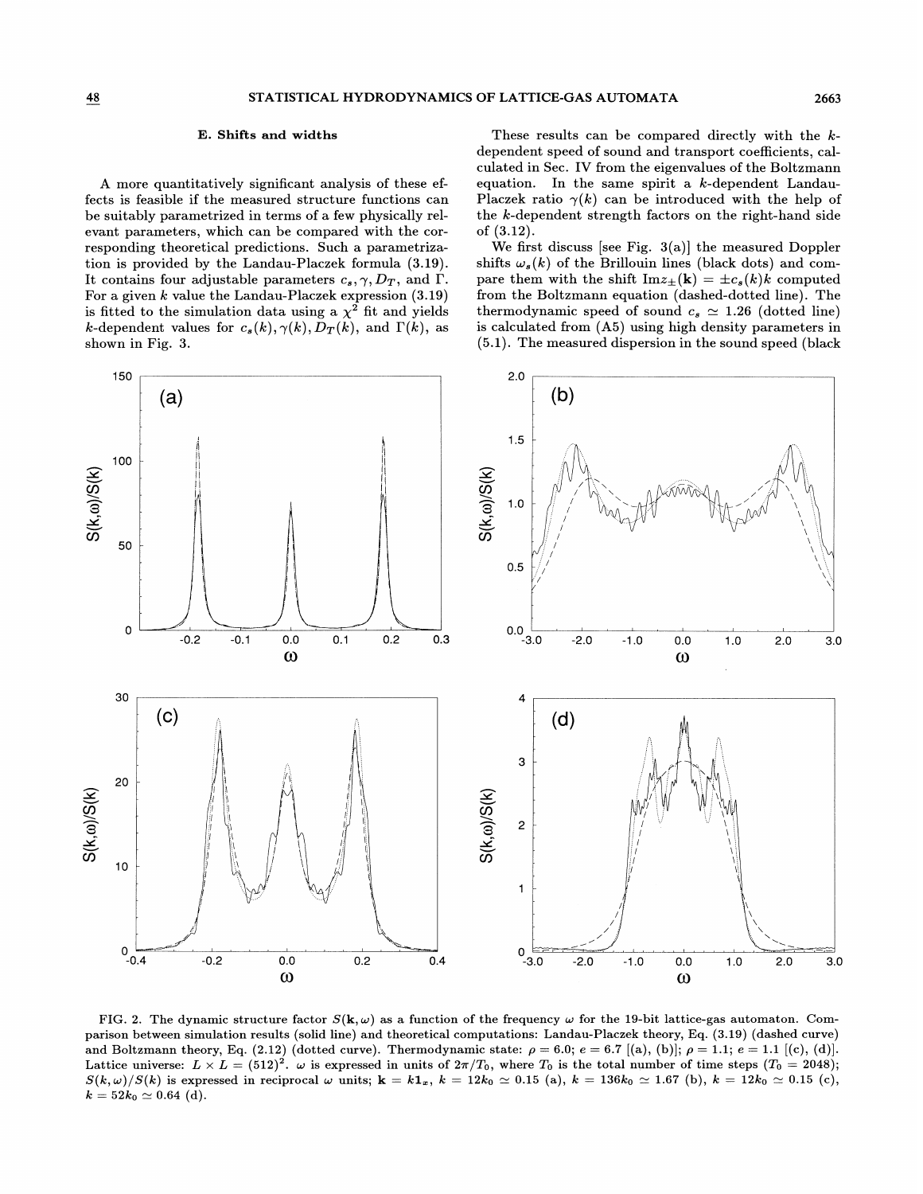## E. Shifts and widths

A more quantitatively significant analysis of these efible if the measured structure functions can  $\epsilon$  is teasible if the measured structure functions can be suitably parametrized in terms of a few physically relevant parameters, which can be compared w responding theoretical predictions. Such a parametrization is provided by the Land For a given  $k$  value the Landau-Placzek expression  $(3.19)$ is fitted to the simulation data using a  $\chi^2$  fit and yields k-dependent values for  $c_s(k), \gamma(k), D_T(k)$ , and  $\Gamma(k)$ , as shown in Fig. 3.

These results can be compared directly with the  $k$ dependent speed of sound and transport coefficients, cal $c$ ulated in Sec. IV from the eigenvalues of the Boltzmann equation. In the same spirit a  $k$ -dependent Landau-Placzek ratio  $\gamma(k)$  can be introduced with the help of the  $k$ -dependent strength factors on the right-hand side of (3.12).

We first discuss [see Fig.  $3(a)$ ] the measured Doppler shifts  $\omega_s(k)$  of the Brillouin lines (black dots) pare them with the shift  $\text{Im}z_{\pm}(\mathbf{k}) = \pm c_s(k)k$  computed<br>from the Boltzmann equation (dashed-dotted line). The thermodynamic speed of sound  $c_s \simeq 1.26$  (dotted line)  $\rm{Hom} \,\, (A5)$  using high density paral [5.1]. The measured dispersion in the sound speed (black



FIG. 2. The dynamic structure factor  $S(\mathbf{k}, \omega)$  as a function of the frequency  $\omega$  for the 19-bit lattice-gas automaton. Comparison between simulation results (solid line) and theoretical computations: Landau-Placzek theory, Eq. (3.19) (dashed curve)  $\alpha$  results (bond line) and theoretical comparational. Exhibit function of  $\epsilon$  is equal to  $\epsilon$  if  $\epsilon$  is equal to  $\epsilon$  is equal to  $\epsilon$  is equal to  $\epsilon$  is equal to  $\epsilon$  is equal to  $\epsilon$  is equal to  $\epsilon$  is equal to (2.12) (dotted curve). Thermodynamic state:  $\rho = 6.0$ ;  $e = 6.7$  [(a), (b)];  $\rho = 1.1$ ;  $e = 1.1$  [(c), (d)].<br>(512)<sup>2</sup>.  $\omega$  is expressed in units of  $2\pi/T_0$ , where  $T_0$  is the total number of time steps ( $T_0 = 2048$ );<br>n 512) $^2.$   $\omega$  is expressed in units of  $2\pi/T_0,$  wher  $S(k,\omega)/S(k)$  is expressed in reciprocal  $\omega$  units;  $\mathbf{k} = k\mathbf{1}_x$ ,  $k = 12k_0 \approx 0.15$  (a),  $k = 136k_0 \approx 1.67$  (b),  $k = 12k_0 \approx 0.15$  (c),  $k = 52k_0 \simeq 0.64$  (d).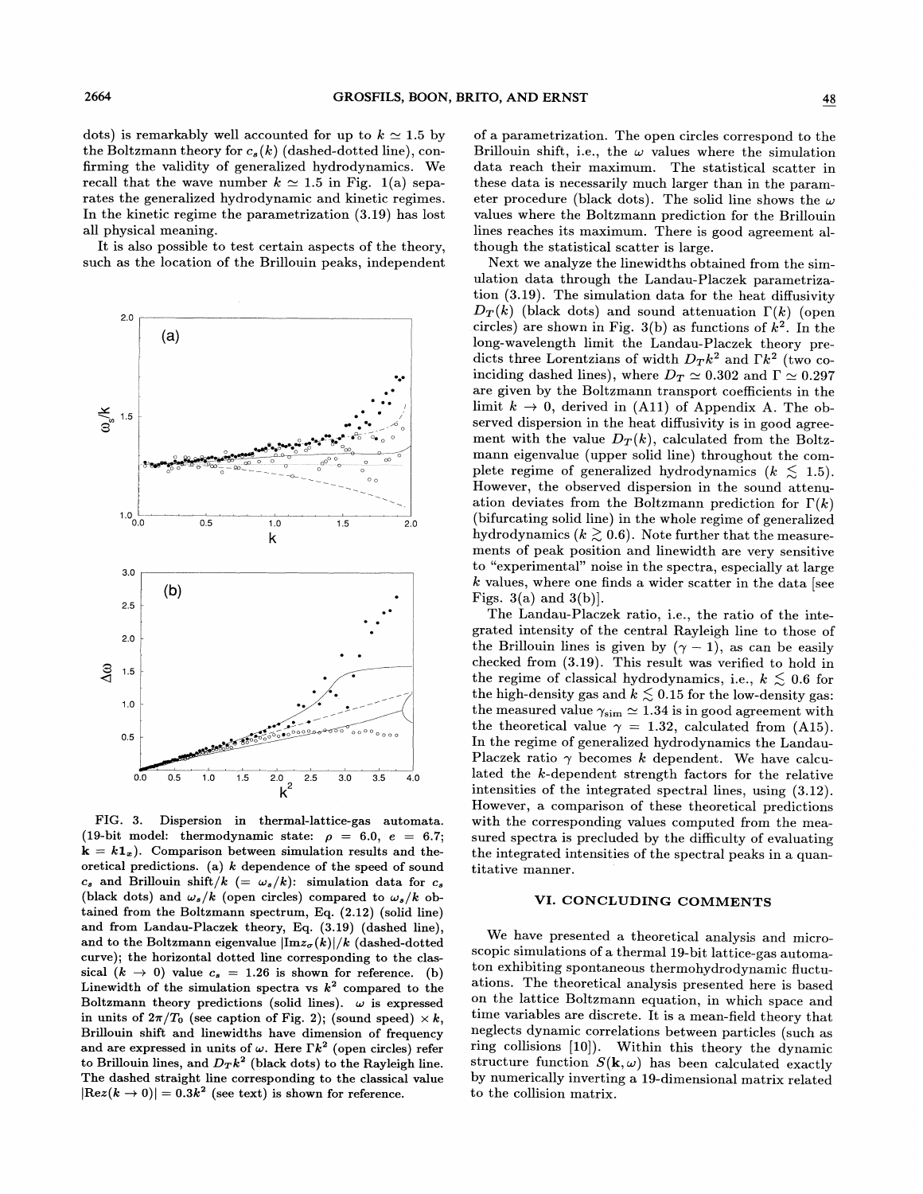dots) is remarkably well accounted for up to  $k \approx 1.5$  by the Boltzmann theory for  $c_s(k)$  (dashed-dotted line), confirming the validity of generalized hydrodynamics. We recall that the wave number  $k \approx 1.5$  in Fig. 1(a) separates the generalized hydrodynamic and kinetic regimes. In the kinetic regime the parametrization (3.19) has lost all physical meaning.

It is also possible to test certain aspects of the theory, such as the location of the Brillouin peaks, independent



FIG. 3. Dispersion in thermal-lattice-gas automata. (19-bit model: thermodynamic state:  $\rho = 6.0, e = 6.7;$  $k = k1<sub>x</sub>$ ). Comparison between simulation results and theoretical predictions. (a)  $k$  dependence of the speed of sound  $c_s$  and Brillouin shift/ $k (= \omega_s / k)$ : simulation data for  $c_s$ (black dots) and  $\omega_s / k$  (open circles) compared to  $\omega_s / k$  obtained from the Boltzmann spectrum, Eq. (2.12) (solid line) and from Landau-Placzek theory, Eq. (3.19) (dashed line), and to the Boltzmann eigenvalue  $|{\rm Im} z_{\sigma}(k)|/k$  (dashed-dotted curve); the horizontal dotted line corresponding to the classical  $(k \rightarrow 0)$  value  $c_s = 1.26$  is shown for reference. (b) Linewidth of the simulation spectra vs  $k^2$  compared to the Boltzmann theory predictions (solid lines).  $\omega$  is expressed in units of  $2\pi/T_0$  (see caption of Fig. 2); (sound speed)  $\times k$ , Brillouin shift and linewidths have dimension of frequency and are expressed in units of  $\omega$ . Here  $\Gamma k^2$  (open circles) refer to Brillouin lines, and  $D_T k^2$  (black dots) to the Rayleigh line. The dashed straight line corresponding to the classical value  $|{\rm Re}z(k \to 0)| = 0.3k^2$  (see text) is shown for reference.

of a parametrization. The open circles correspond to the Brillouin shift, i.e., the  $\omega$  values where the simulation data reach their maximum. The statistical scatter in these data is necessarily much larger than in the parameter procedure (black dots). The solid line shows the  $\omega$ values where the Boltzmann prediction for the Brillouin lines reaches its maximum. There is good agreement although the statistical scatter is large.

Next we analyze the linewidths obtained from the simulation data through the Landau-Placzek parametrization  $(3.19)$ . The simulation data for the heat diffusivity  $D_T(k)$  (black dots) and sound attenuation  $\Gamma(k)$  (open circles) are shown in Fig. 3(b) as functions of  $k^2$ . In the long-wavelength limit the Landau-Placzek theory predicts three Lorentzians of width  $D_T k^2$  and  $\Gamma k^2$  (two coinciding dashed lines), where  $D_T \simeq 0.302$  and  $\Gamma \simeq 0.297$ are given by the Boltzmann transport coefficients in the limit  $k \to 0$ , derived in (A11) of Appendix A. The observed dispersion in the heat diffusivity is in good agreement with the value  $D_T(k)$ , calculated from the Boltzmann eigenvalue (upper solid line) throughout the complete regime of generalized hydrodynamics  $(k \lesssim 1.5)$ . However, the observed dispersion in the sound attenuation deviates from the Boltzmann prediction for  $\Gamma(k)$ (bifurcating solid line) in the whole regime of generalized hydrodynamics ( $k \gtrsim 0.6$ ). Note further that the measurements of peak position and linewidth are very sensitive to "experimental" noise in the spectra, especially at large  $k$  values, where one finds a wider scatter in the data [see Figs.  $3(a)$  and  $3(b)$ ].

The Landau-Placzek ratio, i.e., the ratio of the integrated intensity of the central Rayleigh line to those of the Brillouin lines is given by  $(\gamma - 1)$ , as can be easily checked from (3.19). This result was verified to hold in the regime of classical hydrodynamics, i.e.,  $k \lesssim 0.6$  for the high-density gas and  $k \lesssim 0.15$  for the low-density gas:<br>the measured value  $\gamma_{\rm sim} \simeq 1.34$  is in good agreement with the measured value  $\gamma_{\text{sim}} \simeq 1.34$  is in good agreement with<br>the theoretical value  $\gamma = 1.32$ , calculated from (A15). In the regime of generalized hydrodynamics the Landau-Placzek ratio  $\gamma$  becomes k dependent. We have calculated the k-dependent strength factors for the relative intensities of the integrated spectral lines, using (3.12). However, a comparison of these theoretical predictions with the corresponding values computed from the measured spectra is precluded by the difficulty of evaluating the integrated intensities of the spectral peaks in a quantitative manner.

### VI. CONCLUDING COMMENTS

We have presented a theoretical analysis and microscopic simulations of a thermal 19-bit lattice-gas automaton exhibiting spontaneous thermohydrodynamic fluctuations. The theoretical analysis presented here is based on the lattice Boltzmann equation, in which space and time variables are discrete. It is a mean-field theory that neglects dynamic correlations between particles (such as ring collisions [10]). Within this theory the dynamic structure function  $S(\mathbf{k}, \omega)$  has been calculated exactly by numerically inverting a 19-dimensional matrix related to the collision matrix.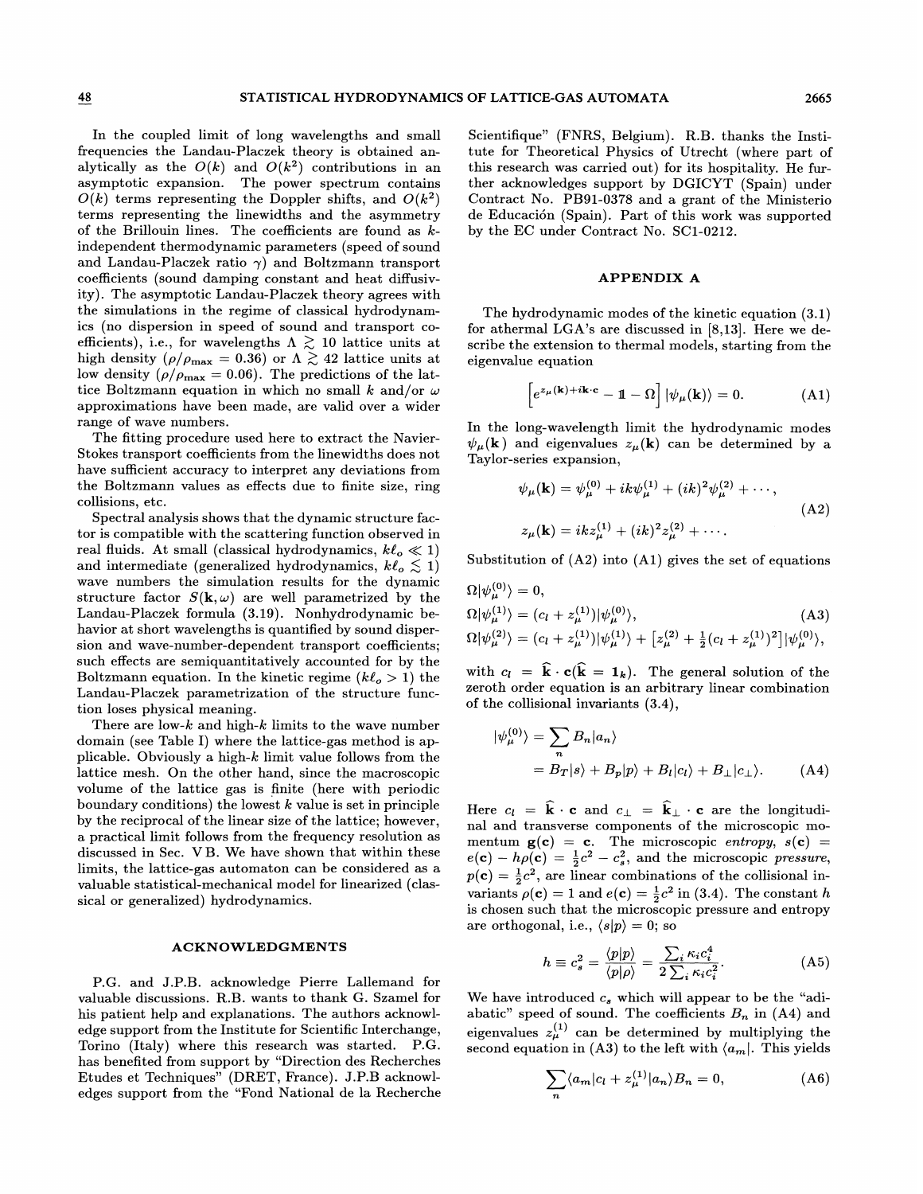In the coupled limit of long wavelengths and small frequencies the Landau-Placzek theory is obtained analytically as the  $O(k)$  and  $O(k^2)$  contributions in an asymptotic expansion. The power spectrum contains  $O(k)$  terms representing the Doppler shifts, and  $O(k^2)$ terms representing the linewidths and the asymmetry of the Brillouin lines. The coefficients are found as  $k$ independent thermodynamic parameters (speed of sound and Landau-Placzek ratio  $\gamma$ ) and Boltzmann transport coefficients (sound damping constant and heat diffusivity). The asymptotic Landau-Placzek theory agrees with the simulations in the regime of classical hydrodynamics (no dispersion in speed of sound and transport coefficients), i.e., for wavelengths  $\Lambda \gtrsim 10$  lattice units at high density ( $\rho/\rho_{\text{max}} = 0.36$ ) or  $\Lambda \gtrsim 42$  lattice units at low density ( $\rho/\rho_{\text{max}} = 0.36$ ) or  $\Lambda \gtrsim 42$  lattice units at<br>low density ( $\rho/\rho_{\text{max}} = 0.06$ ). The predictions of the lattice Boltzmann equation in which no small k and/or  $\omega$ approximations have been made, are valid over a wider range of wave numbers.

The fitting procedure used here to extract the Navier-Stokes transport coefficients from the linewidths does not have sufficient accuracy to interpret any deviations from the Boltzmann values as effects due to finite size, ring collisions, etc.

Spectral analysis shows that the dynamic structure factor is compatible with the scattering function observed in real fluids. At small (classical hydrodynamics,  $k\ell_o \ll 1$ ) and intermediate (generalized hydrodynamics,  $k\ell_o \lesssim 1$ ) wave numbers the simulation results for the dynamic structure factor  $S(\mathbf{k}, \omega)$  are well parametrized by the Landau-Placzek formula (3.19). Nonhydrodynamic behavior at short wavelengths is quantified by sound dispersion and wave-number-dependent transport coefficients; such effects are semiquantitatively accounted for by the Boltzmann equation. In the kinetic regime  $(k\ell_{o} > 1)$  the Landau-Placzek parametrization of the structure function loses physical meaning.

There are low- $k$  and high- $k$  limits to the wave number domain (see Table I) where the lattice-gas method is applicable. Obviously a high- $k$  limit value follows from the lattice mesh. On the other hand, since the macroscopic volume of the lattice gas is finite (here with periodic boundary conditions) the lowest  $k$  value is set in principle by the reciprocal of the linear size of the lattice; however, a practical limit follows from the frequency resolution as discussed in Sec. VB. We have shown that within these limits, the lattice-gas automaton can be considered as a valuable statistical-mechanical model for linearized (classical or generalized) hydrodynamics.

# ACKNOWLEDGMENTS

P.G. and J.P.B. acknowledge Pierre Lallemand for valuable discussions. R.B. wants to thank G. Szamel for his patient help and explanations. The authors acknowledge support from the Institute for Scientific Interchange, Torino (Italy) where this research was started. P.G. has benefited from support by "Direction des Recherches Etudes et Techniques" (DRET, France). J.P.B acknowledges support from the "Fond National de la Recherche Scientifique" (FNRS, Belgium). R.B. thanks the Institute for Theoretical Physics of Utrecht (where part of this research was carried out) for its hospitality. He further acknowledges support by DGICYT (Spain) under Contract No. PB91-0378 and a grant of the Ministerio de Educacion (Spain). Part of this work was supported by the EC under Contract No. SC1-0212.

### APPENDIX A

The hydrodynamic modes of the kinetic equation (3.1) for athermal LGA's are discussed in [8,13]. Here we describe the extension to thermal models, starting from the eigenvalue equation

$$
\[e^{z_{\mu}(\mathbf{k})+i\mathbf{k}\cdot\mathbf{c}}-\mathbb{1}-\Omega\]\,|\psi_{\mu}(\mathbf{k})\rangle=0.\tag{A1}
$$

In the long-wavelength limit the hydrodynamic modes  $\psi_{\mu}(\mathbf{k})$  and eigenvalues  $z_{\mu}(\mathbf{k})$  can be determined by a Taylor-series expansion,

$$
\psi_{\mu}(\mathbf{k}) = \psi_{\mu}^{(0)} + ik\psi_{\mu}^{(1)} + (ik)^{2}\psi_{\mu}^{(2)} + \cdots,
$$
  
\n
$$
z_{\mu}(\mathbf{k}) = ikz_{\mu}^{(1)} + (ik)^{2}z_{\mu}^{(2)} + \cdots.
$$
\n(A2)

Substitution of  $(A2)$  into  $(A1)$  gives the set of equations

$$
\Omega|\psi_{\mu}^{(0)}\rangle = 0,\n\Omega|\psi_{\mu}^{(1)}\rangle = (c_l + z_{\mu}^{(1)})|\psi_{\mu}^{(0)}\rangle, \n\Omega|\psi_{\mu}^{(2)}\rangle = (c_l + z_{\mu}^{(1)})|\psi_{\mu}^{(1)}\rangle + [z_{\mu}^{(2)} + \frac{1}{2}(c_l + z_{\mu}^{(1)})^2]|\psi_{\mu}^{(0)}\rangle,
$$
\n(A3)

with  $c_l = \hat{k} \cdot c(\hat{k} = 1_k)$ . The general solution of the zeroth order equation is an arbitrary linear combination of the collisional invariants (3.4),

$$
|\psi_{\mu}^{(0)}\rangle = \sum_{n} B_{n} |a_{n}\rangle
$$
  
=  $B_{T}|s\rangle + B_{p}|p\rangle + B_{l}|c_{l}\rangle + B_{\perp}|c_{\perp}\rangle.$  (A4)

Here  $c_l = \hat{\mathbf{k}} \cdot \mathbf{c}$  and  $c_{\perp} = \hat{\mathbf{k}}_{\perp} \cdot \mathbf{c}$  are the longitudinal and transverse components of the microscopic momentum  $g(c) = c$ . The microscopic entropy,  $s(c) = c$ .  $e(\mathbf{c}) - h\rho(\mathbf{c}) = \frac{1}{2}c^2 - c_s^2$ , and the microscopic pressure,  $p(c) = \frac{1}{2}c^2$ , are linear combinations of the collisional invariants  $\rho(\mathbf{c}) = 1$  and  $e(\mathbf{c}) = \frac{1}{2}c^2$  in (3.4). The constant h is chosen such that the microscopic pressure and entropy are orthogonal, i.e.,  $\langle s|p \rangle = 0$ ; so

$$
h \equiv c_s^2 = \frac{\langle p|p\rangle}{\langle p|\rho\rangle} = \frac{\sum_i \kappa_i c_i^4}{2 \sum_i \kappa_i c_i^2}.
$$
 (A5)

We have introduced  $c_s$  which will appear to be the "adiabatic" speed of sound. The coefficients  $B_n$  in (A4) and eigenvalues  $z_{\mu}^{(1)}$  can be determined by multiplying the second equation in (A3) to the left with  $\langle a_m |$ . This yields

$$
\sum_{n} \langle a_m | c_l + z_{\mu}^{(1)} | a_n \rangle B_n = 0, \tag{A6}
$$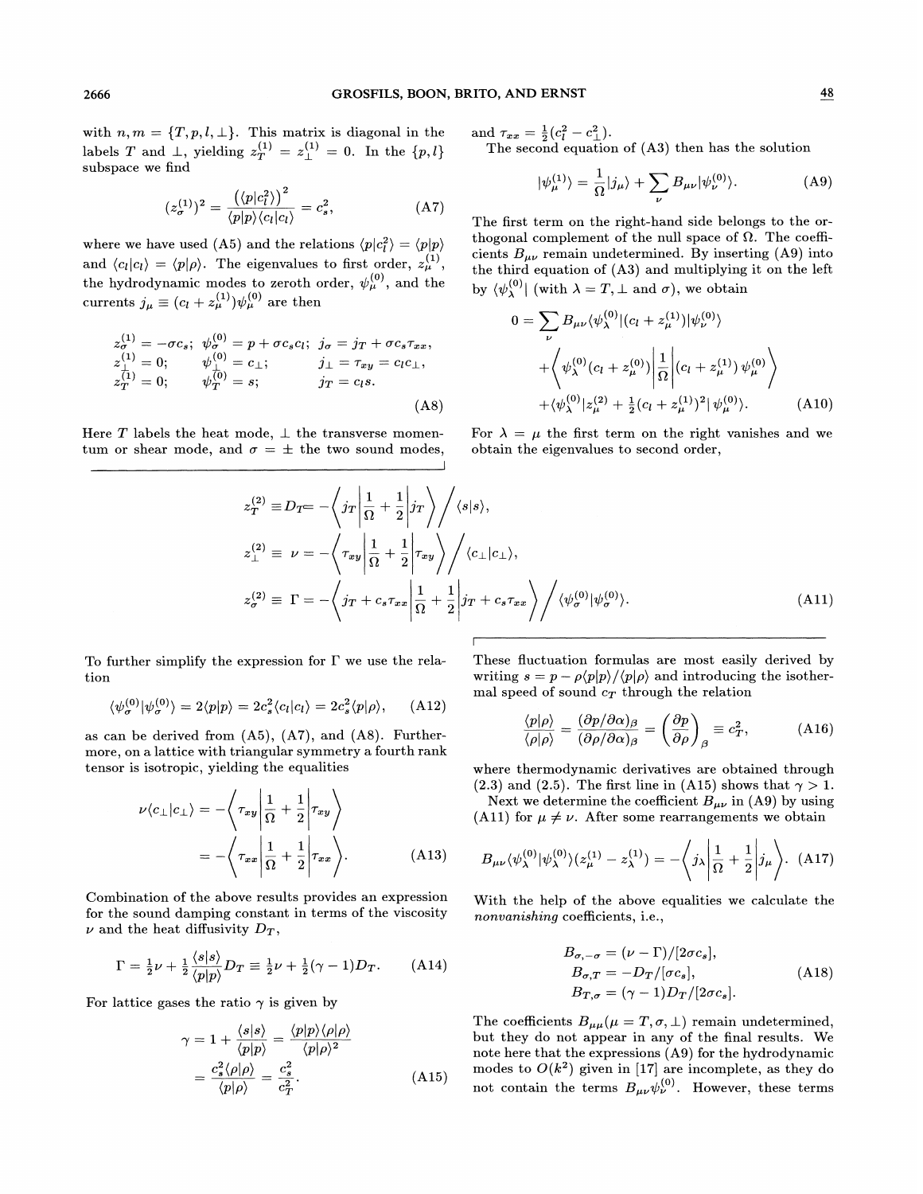with  $n, m = \{T, p, l, \perp\}$ . This matrix is diagonal in the labels T and  $\perp$ , yielding  $z_T^{(1)} = z_\perp^{(1)} = 0$ . In the  $\{p, l\}$ subspace we find

$$
(z_{\sigma}^{(1)})^2 = \frac{\left(\langle p|c_l^2\rangle\right)^2}{\langle p|p\rangle\langle c_l|c_l\rangle} = c_s^2,
$$
 (A7)

where we have used (A5) and the relations  $\langle p|c_i^2 \rangle = \langle p|p \rangle$ and  $\langle c_l | c_l \rangle = \langle p | \rho \rangle$ . The eigenvalues to first order,  $z_{\mu}^{(1)}$ , the hydrodynamic modes to zeroth order,  $\psi_{\mu}^{(0)}$ , and the currents  $j_{\mu} \equiv (c_l + z_{\mu}^{(1)}) \psi_{\mu}^{(0)}$  are then

$$
z_{\sigma}^{(1)} = -\sigma c_s; \quad \psi_{\sigma}^{(0)} = p + \sigma c_s c_l; \quad j_{\sigma} = j_T + \sigma c_s \tau_{xx},
$$
  
\n
$$
z_{\perp}^{(1)} = 0; \qquad \psi_{\perp}^{(0)} = c_{\perp}; \qquad j_{\perp} = \tau_{xy} = c_l c_{\perp},
$$
  
\n
$$
z_T^{(1)} = 0; \qquad \psi_T^{(0)} = s; \qquad j_T = c_l s.
$$
  
\n(A8)

Here T labels the heat mode,  $\perp$  the transverse momentum or shear mode, and  $\sigma = \pm$  the two sound modes, and  $\tau_{xx} = \frac{1}{2}(c_l^2 - c_\perp^2)$ . The second equation of (A3) then has the solution

$$
\psi_{\mu}^{(1)}\rangle = \frac{1}{\Omega} |j_{\mu}\rangle + \sum_{\nu} B_{\mu\nu} |\psi_{\nu}^{(0)}\rangle. \tag{A9}
$$

The first term on the right-hand side belongs to the orthogonal complement of the null space of  $\Omega$ . The coefficients  $B_{\mu\nu}$  remain undetermined. By inserting (A9) into the third equation of (A3) and multiplying it on the left by  $\bra{\psi^{(0)}_{\lambda}}$  (with  $\lambda = T, \bot$  and  $\sigma$ ), we obtain

$$
0 = \sum_{\nu} B_{\mu\nu} \langle \psi_{\lambda}^{(0)} | (c_l + z_{\mu}^{(1)}) | \psi_{\nu}^{(0)} \rangle + \left\langle \psi_{\lambda}^{(0)} (c_l + z_{\mu}^{(0)}) \left| \frac{1}{\Omega} \right| (c_l + z_{\mu}^{(1)}) \psi_{\mu}^{(0)} \right\rangle + \langle \psi_{\lambda}^{(0)} | z_{\mu}^{(2)} + \frac{1}{2} (c_l + z_{\mu}^{(1)})^2 | \psi_{\mu}^{(0)} \rangle.
$$
 (A10)

For  $\lambda = \mu$  the first term on the right vanishes and we obtain the eigenvalues to second order,

$$
z_T^{(2)} \equiv D_T = -\left\langle j_T \left| \frac{1}{\Omega} + \frac{1}{2} \right| j_T \right\rangle / \langle s|s \rangle,
$$
  
\n
$$
z_{\perp}^{(2)} \equiv \nu = -\left\langle \tau_{xy} \left| \frac{1}{\Omega} + \frac{1}{2} \right| \tau_{xy} \right\rangle / \langle c_{\perp} | c_{\perp} \rangle,
$$
  
\n
$$
z_{\sigma}^{(2)} \equiv \Gamma = -\left\langle j_T + c_s \tau_{xx} \left| \frac{1}{\Omega} + \frac{1}{2} \right| j_T + c_s \tau_{xx} \right\rangle / \langle \psi_{\sigma}^{(0)} | \psi_{\sigma}^{(0)} \rangle.
$$
\n(A11)

To further simplify the expression for  $\Gamma$  we use the relation

$$
\langle \psi_{\sigma}^{(0)} | \psi_{\sigma}^{(0)} \rangle = 2 \langle p | p \rangle = 2 c_s^2 \langle c_l | c_l \rangle = 2 c_s^2 \langle p | \rho \rangle, \quad (A12)
$$

as can be derived from  $(A5)$ ,  $(A7)$ , and  $(A8)$ . Furthermore, on a lattice with triangular symmetry a fourth rank tensor is isotropic, yielding the equalities

$$
\nu \langle c_{\perp} | c_{\perp} \rangle = - \langle \tau_{xy} | \frac{1}{\Omega} + \frac{1}{2} | \tau_{xy} \rangle
$$
  
=  $-\langle \tau_{xx} | \frac{1}{\Omega} + \frac{1}{2} | \tau_{xx} \rangle.$  (A13)

Combination of the above results provides an expression for the sound damping constant in terms of the viscosity  $\nu$  and the heat diffusivity  $D_T$ ,

$$
\Gamma = \frac{1}{2}\nu + \frac{1}{2}\frac{\langle s|s\rangle}{\langle p|p\rangle}D_T \equiv \frac{1}{2}\nu + \frac{1}{2}(\gamma - 1)D_T.
$$
 (A14)

For lattice gases the ratio  $\gamma$  is given by

$$
\gamma = 1 + \frac{\langle s|s\rangle}{\langle p|p\rangle} = \frac{\langle p|p\rangle \langle \rho|\rho\rangle}{\langle p|\rho\rangle^2}
$$

$$
= \frac{c_s^2 \langle \rho|\rho\rangle}{\langle p|\rho\rangle} = \frac{c_s^2}{c_T^2}.
$$
(A15)

These fluctuation formulas are most easily derived by writing  $s = p - \rho \langle p|p \rangle / \langle p| \rho \rangle$  and introducing the isothermal speed of sound  $c_T$  through the relation

$$
\frac{p|\rho\rangle}{\rho|\rho\rangle} = \frac{(\partial p/\partial \alpha)_{\beta}}{(\partial \rho/\partial \alpha)_{\beta}} = \left(\frac{\partial p}{\partial \rho}\right)_{\beta} \equiv c_T^2, \quad (A16)
$$

where thermodynamic derivatives are obtained through (2.3) and (2.5). The first line in (A15) shows that  $\gamma > 1$ .

Next we determine the coefficient  $B_{\mu\nu}$  in (A9) by using (A11) for  $\mu \neq \nu$ . After some rearrangements we obtain

$$
B_{\mu\nu}\langle\psi_{\lambda}^{(0)}|\psi_{\lambda}^{(0)}\rangle(z_{\mu}^{(1)}-z_{\lambda}^{(1)})=-\langle j_{\lambda}|\frac{1}{\Omega}+\frac{1}{2}|j_{\mu}\rangle. \tag{A17}
$$

With the help of the above equalities we calculate the nonvanishing coefficients, i.e.,

coentrems, i.e.,  
\n
$$
B_{\sigma,-\sigma} = (\nu - \Gamma)/[2\sigma c_s],
$$
\n
$$
B_{\sigma,T} = -D_T/[\sigma c_s],
$$
\n
$$
B_{T,\sigma} = (\gamma - 1)D_T/[2\sigma c_s].
$$
\n(A18)

The coefficients  $B_{\mu\mu}(\mu=T,\sigma,\bot)$  remain undetermined but they do not appear in any of the final results. We note here that the expressions  $(A9)$  for the hydrodynamic modes to  $O(k^2)$  given in [17] are incomplete, as they do not contain the terms  $B_{\mu\nu}\psi_{\nu}^{(0)}$ . However, these terms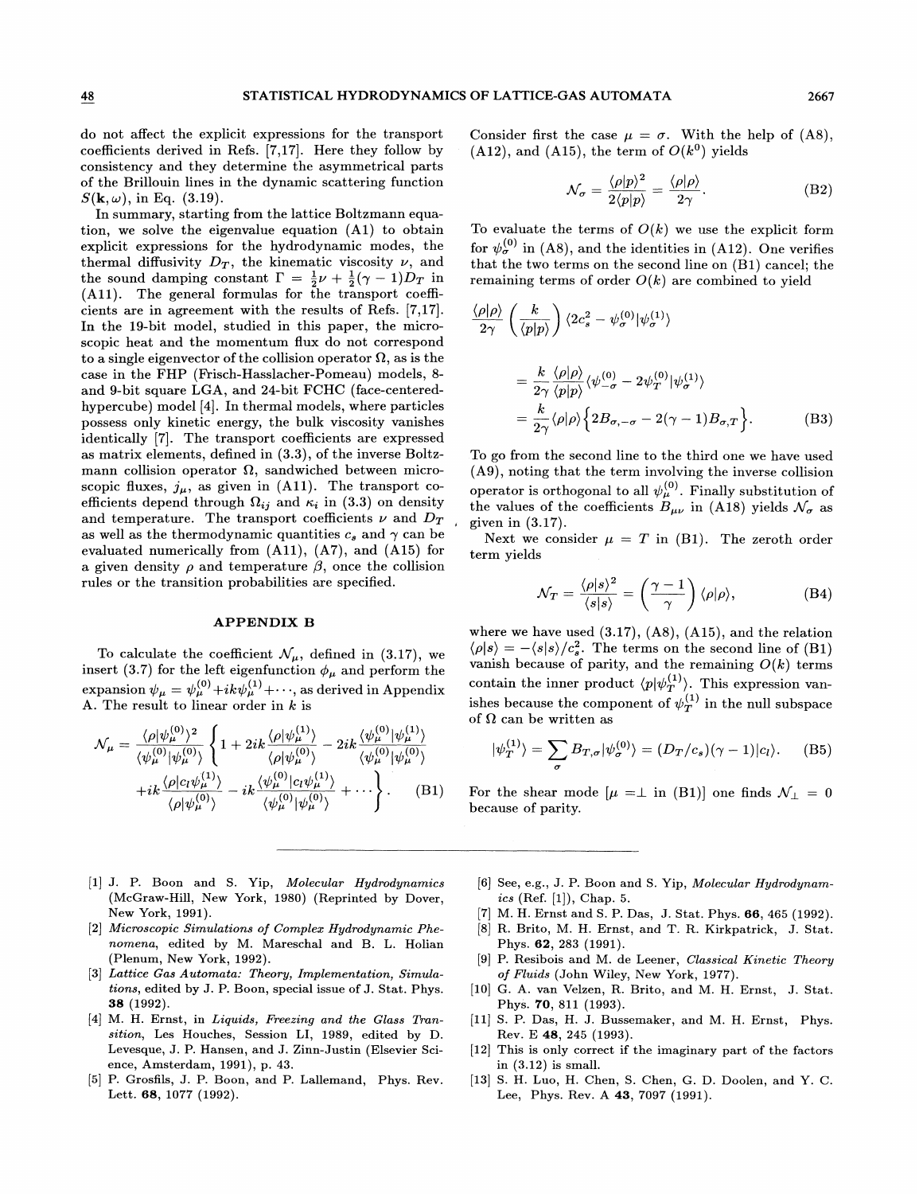do not affect the explicit expressions for the transport coefficients derived in Refs. [7,17]. Here they follow by consistency and they determine the asymmetrical parts of the Brillouin lines in the dynamic scattering function  $S(\mathbf{k}, \omega)$ , in Eq. (3.19).

In summary, starting from the lattice Boltzmann equation, we solve the eigenvalue equation (Al) to obtain explicit expressions for the hydrodynamic modes, the thermal diffusivity  $D_T$ , the kinematic viscosity  $\nu$ , and the sound damping constant  $\Gamma = \frac{1}{2}\nu + \frac{1}{2}(\gamma - 1)D_T$  in (All). The general formulas for the transport coefficients are in agreement with the results of Refs. [7,17]. In the 19-bit model, studied in this paper, the microscopic heat and the momentum fIux do not correspond to a single eigenvector of the collision operator  $\Omega$ , as is the case in the FHP (Frisch-Hasslacher-Pomeau) models, 8and 9-bit square LGA, and 24-bit FCHC (face-centeredhypercube) model [4]. In thermal models, where particles possess only kinetic energy, the bulk viscosity vanishes identically [7]. The transport coefficients are expressed as matrix elements, defined in (3.3), of the inverse Boltzmann collision operator  $\Omega$ , sandwiched between microscopic fluxes,  $j_{\mu}$ , as given in (A11). The transport coefficients depend through  $\Omega_{ij}$  and  $\kappa_i$  in (3.3) on density and temperature. The transport coefficients  $\nu$  and  $D_T$ as well as the thermodynamic quantities  $c_s$  and  $\gamma$  can be evaluated numerically from  $(A11)$ ,  $(A7)$ , and  $(A15)$  for a given density  $\rho$  and temperature  $\beta$ , once the collision rules or the transition probabilities are specified.

## APPENDIX B

To calculate the coefficient  $\mathcal{N}_{\mu}$ , defined in (3.17), we insert (3.7) for the left eigenfunction  $\phi_{\mu}$  and perform the  $\text{expansion }\psi_{\mu}= \psi^{(0)}_{\mu}+ik\bar{\psi}^{(1)}_{\mu}+\cdots, \text{ as derived in Appendix}$ A. The result to linear order in  $k$  is

$$
\mathcal{N}_{\mu} = \frac{\langle \rho | \psi_{\mu}^{(0)} \rangle^{2}}{\langle \psi_{\mu}^{(0)} | \psi_{\mu}^{(0)} \rangle} \left\{ 1 + 2ik \frac{\langle \rho | \psi_{\mu}^{(1)} \rangle}{\langle \rho | \psi_{\mu}^{(0)} \rangle} - 2ik \frac{\langle \psi_{\mu}^{(0)} | \psi_{\mu}^{(1)} \rangle}{\langle \psi_{\mu}^{(0)} | \psi_{\mu}^{(0)} \rangle} + ik \frac{\langle \rho | c_{l} \psi_{\mu}^{(1)} \rangle}{\langle \rho | \psi_{\mu}^{(0)} \rangle} - ik \frac{\langle \psi_{\mu}^{(0)} | c_{l} \psi_{\mu}^{(1)} \rangle}{\langle \psi_{\mu}^{(0)} | \psi_{\mu}^{(0)} \rangle} + \cdots \right\}.
$$
 (B1)

Consider first the case  $\mu = \sigma$ . With the help of (A8),  $(A12)$ , and  $(A15)$ , the term of  $O(k^0)$  yields

$$
\mathcal{N}_{\sigma} = \frac{\langle \rho | p \rangle^2}{2 \langle p | p \rangle} = \frac{\langle \rho | \rho \rangle}{2 \gamma}.
$$
 (B2)

To evaluate the terms of  $O(k)$  we use the explicit form for  $\psi_{\sigma}^{(0)}$  in (A8), and the identities in (A12). One verifies that the two terms on the second line on (Bl) cancel; the remaining terms of order  $O(k)$  are combined to yield

$$
\frac{\langle \rho | \rho \rangle}{2\gamma} \left( \frac{k}{\langle p | p \rangle} \right) \langle 2c_s^2 - \psi_{\sigma}^{(0)} | \psi_{\sigma}^{(1)} \rangle
$$
  

$$
= \frac{k}{2\gamma} \frac{\langle \rho | \rho \rangle}{\langle p | p \rangle} \langle \psi_{-\sigma}^{(0)} - 2\psi_T^{(0)} | \psi_{\sigma}^{(1)} \rangle
$$
  

$$
= \frac{k}{2\gamma} \langle \rho | \rho \rangle \left\{ 2B_{\sigma, -\sigma} - 2(\gamma - 1)B_{\sigma, T} \right\}. \tag{B3}
$$

To go from the second line to the third one we have used (A9), noting that the term involving the inverse collision operator is orthogonal to all  $\psi_{\mu}^{(0)}$ . Finally substitution of the values of the coefficients  $B_{\mu\nu}$  in (A18) yields  $\mathcal{N}_{\sigma}$  as given in (3.17).

Next we consider  $\mu = T$  in (B1). The zeroth order term yields

$$
\mathcal{N}_T = \frac{\langle \rho | s \rangle^2}{\langle s | s \rangle} = \left( \frac{\gamma - 1}{\gamma} \right) \langle \rho | \rho \rangle, \tag{B4}
$$

where we have used  $(3.17)$ ,  $(A8)$ ,  $(A15)$ , and the relation  $\langle \rho | s \rangle = -\langle s | s \rangle / c_s^2$ . The terms on the second line of (B1) vanish because of parity, and the remaining  $O(k)$  terms contain the inner product  $\langle p|\psi_T^{(1)}\rangle$ . This expression vanishes because the component of  $\psi_T^{(1)}$  in the null subspace of  $\Omega$  can be written as

$$
|\psi_T^{(1)}\rangle = \sum_{\sigma} B_{T,\sigma} |\psi_{\sigma}^{(0)}\rangle = (D_T/c_s)(\gamma - 1)|c_l\rangle.
$$
 (B5)

For the shear mode  $[\mu = \perp$  in (B1)] one finds  $\mathcal{N}_{\perp} = 0$ because of parity.

- [1] J. P. Boon and S. Yip, Molecular Hydrodynamics (McGraw-Hill, New York, 1980) (Reprinted by Dover, New York, 1991).
- [2] Microscopic Simulations of Complex Hydrodynamic Phenomena, edited by M. Mareschal and B. L. Holian (Plenum, New York, 1992).
- [3] Lattice Gas Automata: Theory, Implementation, Simula tions, edited by J. P. Boon, special issue of J. Stat. Phys. 38 (1992).
- [4] M. H. Ernst, in Liquids, Freezing and the Glass Transition, Les Houches, Session LI, 1989, edited by D. Levesque, J. P. Hansen, and 3. Zinn-Justin (Elsevier Science, Amsterdam, 1991), p. 43.
- [5] P. Grosfils, J. P. Boon, and P. Lallemand, Phys. Rev. Lett. 68, 1077 (1992).
- [6] See, e.g., 3. P. Boon and S. Yip, Molecular Hydrodynam ics (Ref.  $[1]$ ), Chap. 5.
- [7] M. H. Ernst and S. P. Das, J. Stat. Phys. 66, 465 (1992).
- [8] R. Brito, M. H. Ernst, and T. R. Kirkpatrick, J. Stat. Phys. 62, 283 (1991).
- [9] P. Resibois and M. de Leener, Classical Kinetic Theory of Fluids (John Wiley, New York, 1977).
- [10] G. A. van Velzen, R. Brito, and M. H. Ernst, J. Stat. Phys. 70, 811 (1993).
- [11] S. P. Das, H. J. Bussemaker, and M. H. Ernst, Phys. Rev. E 48, 245 (1993).
- [12] This is only correct if the imaginary part of the factors in (3.12) is small.
- [13] S. H. Luo, H. Chen, S. Chen, G. D. Doolen, and Y. C. Lee, Phys. Rev. A 48, 7097 (1991).